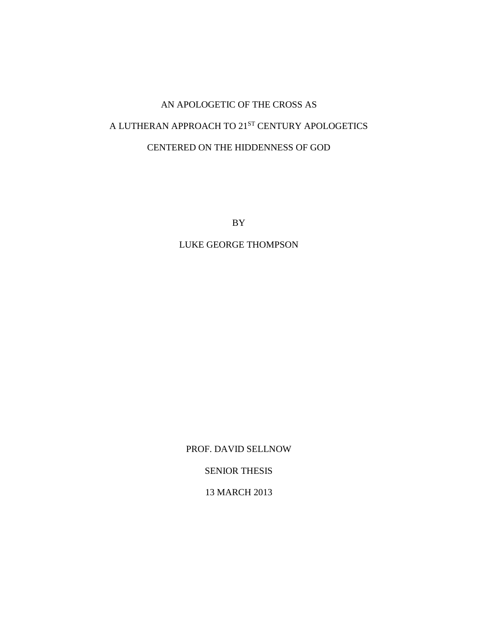# AN APOLOGETIC OF THE CROSS AS A LUTHERAN APPROACH TO  $21^\mathrm{ST}$  CENTURY APOLOGETICS CENTERED ON THE HIDDENNESS OF GOD

BY

LUKE GEORGE THOMPSON

PROF. DAVID SELLNOW

SENIOR THESIS

13 MARCH 2013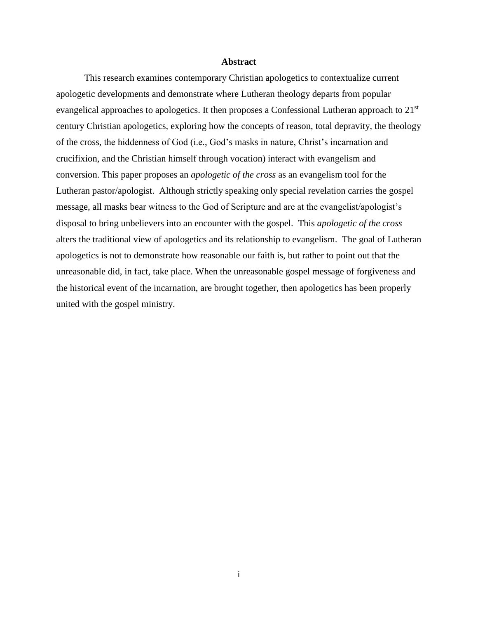## **Abstract**

This research examines contemporary Christian apologetics to contextualize current apologetic developments and demonstrate where Lutheran theology departs from popular evangelical approaches to apologetics. It then proposes a Confessional Lutheran approach to 21<sup>st</sup> century Christian apologetics, exploring how the concepts of reason, total depravity, the theology of the cross, the hiddenness of God (i.e., God's masks in nature, Christ's incarnation and crucifixion, and the Christian himself through vocation) interact with evangelism and conversion. This paper proposes an *apologetic of the cross* as an evangelism tool for the Lutheran pastor/apologist. Although strictly speaking only special revelation carries the gospel message, all masks bear witness to the God of Scripture and are at the evangelist/apologist's disposal to bring unbelievers into an encounter with the gospel. This *apologetic of the cross* alters the traditional view of apologetics and its relationship to evangelism. The goal of Lutheran apologetics is not to demonstrate how reasonable our faith is, but rather to point out that the unreasonable did, in fact, take place. When the unreasonable gospel message of forgiveness and the historical event of the incarnation, are brought together, then apologetics has been properly united with the gospel ministry.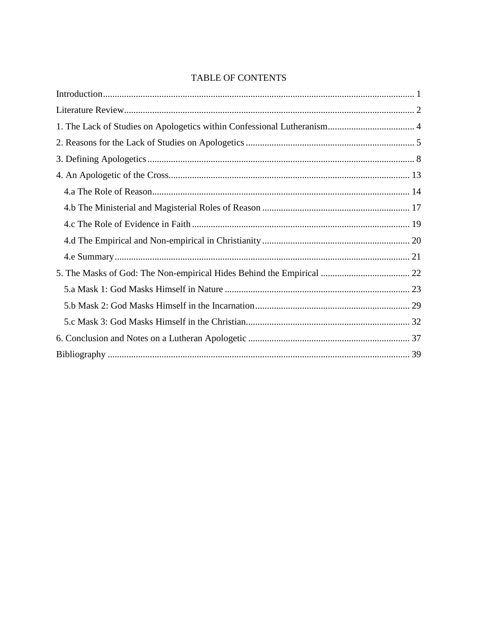## **TABLE OF CONTENTS**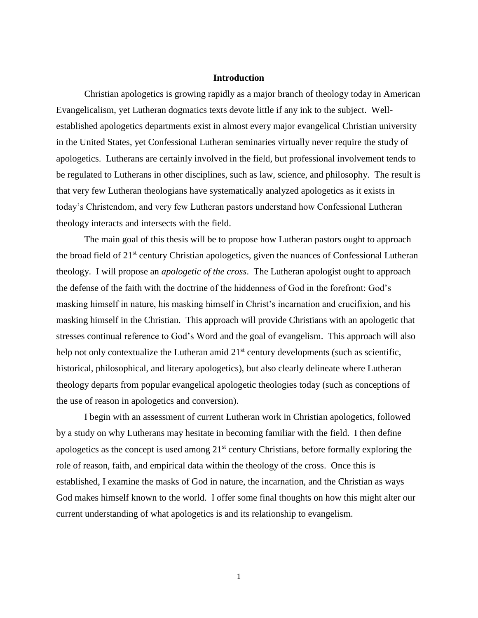## **Introduction**

<span id="page-3-0"></span>Christian apologetics is growing rapidly as a major branch of theology today in American Evangelicalism, yet Lutheran dogmatics texts devote little if any ink to the subject. Wellestablished apologetics departments exist in almost every major evangelical Christian university in the United States, yet Confessional Lutheran seminaries virtually never require the study of apologetics. Lutherans are certainly involved in the field, but professional involvement tends to be regulated to Lutherans in other disciplines, such as law, science, and philosophy. The result is that very few Lutheran theologians have systematically analyzed apologetics as it exists in today's Christendom, and very few Lutheran pastors understand how Confessional Lutheran theology interacts and intersects with the field.

The main goal of this thesis will be to propose how Lutheran pastors ought to approach the broad field of 21st century Christian apologetics, given the nuances of Confessional Lutheran theology. I will propose an *apologetic of the cross*. The Lutheran apologist ought to approach the defense of the faith with the doctrine of the hiddenness of God in the forefront: God's masking himself in nature, his masking himself in Christ's incarnation and crucifixion, and his masking himself in the Christian. This approach will provide Christians with an apologetic that stresses continual reference to God's Word and the goal of evangelism. This approach will also help not only contextualize the Lutheran amid  $21<sup>st</sup>$  century developments (such as scientific, historical, philosophical, and literary apologetics), but also clearly delineate where Lutheran theology departs from popular evangelical apologetic theologies today (such as conceptions of the use of reason in apologetics and conversion).

I begin with an assessment of current Lutheran work in Christian apologetics, followed by a study on why Lutherans may hesitate in becoming familiar with the field. I then define apologetics as the concept is used among  $21<sup>st</sup>$  century Christians, before formally exploring the role of reason, faith, and empirical data within the theology of the cross. Once this is established, I examine the masks of God in nature, the incarnation, and the Christian as ways God makes himself known to the world. I offer some final thoughts on how this might alter our current understanding of what apologetics is and its relationship to evangelism.

1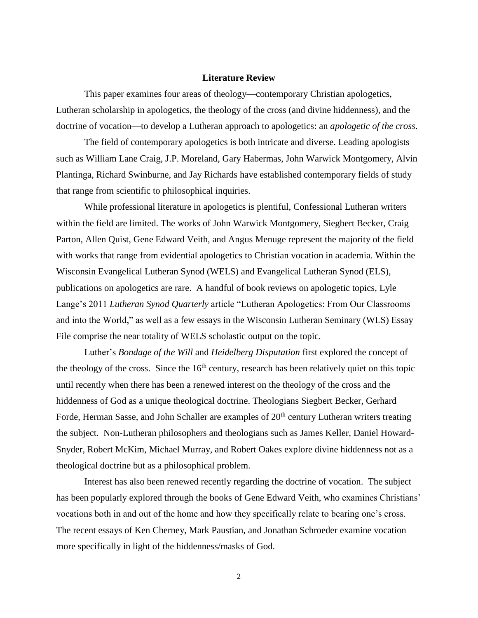#### **Literature Review**

<span id="page-4-0"></span>This paper examines four areas of theology—contemporary Christian apologetics, Lutheran scholarship in apologetics, the theology of the cross (and divine hiddenness), and the doctrine of vocation—to develop a Lutheran approach to apologetics: an *apologetic of the cross*.

The field of contemporary apologetics is both intricate and diverse. Leading apologists such as William Lane Craig, J.P. Moreland, Gary Habermas, John Warwick Montgomery, Alvin Plantinga, Richard Swinburne, and Jay Richards have established contemporary fields of study that range from scientific to philosophical inquiries.

While professional literature in apologetics is plentiful, Confessional Lutheran writers within the field are limited. The works of John Warwick Montgomery, Siegbert Becker, Craig Parton, Allen Quist, Gene Edward Veith, and Angus Menuge represent the majority of the field with works that range from evidential apologetics to Christian vocation in academia. Within the Wisconsin Evangelical Lutheran Synod (WELS) and Evangelical Lutheran Synod (ELS), publications on apologetics are rare. A handful of book reviews on apologetic topics, Lyle Lange's 2011 *Lutheran Synod Quarterly* article "Lutheran Apologetics: From Our Classrooms and into the World," as well as a few essays in the Wisconsin Lutheran Seminary (WLS) Essay File comprise the near totality of WELS scholastic output on the topic.

Luther's *Bondage of the Will* and *Heidelberg Disputation* first explored the concept of the theology of the cross. Since the  $16<sup>th</sup>$  century, research has been relatively quiet on this topic until recently when there has been a renewed interest on the theology of the cross and the hiddenness of God as a unique theological doctrine. Theologians Siegbert Becker, Gerhard Forde, Herman Sasse, and John Schaller are examples of  $20<sup>th</sup>$  century Lutheran writers treating the subject. Non-Lutheran philosophers and theologians such as James Keller, Daniel Howard-Snyder, Robert McKim, Michael Murray, and Robert Oakes explore divine hiddenness not as a theological doctrine but as a philosophical problem.

Interest has also been renewed recently regarding the doctrine of vocation. The subject has been popularly explored through the books of Gene Edward Veith, who examines Christians' vocations both in and out of the home and how they specifically relate to bearing one's cross. The recent essays of Ken Cherney, Mark Paustian, and Jonathan Schroeder examine vocation more specifically in light of the hiddenness/masks of God.

2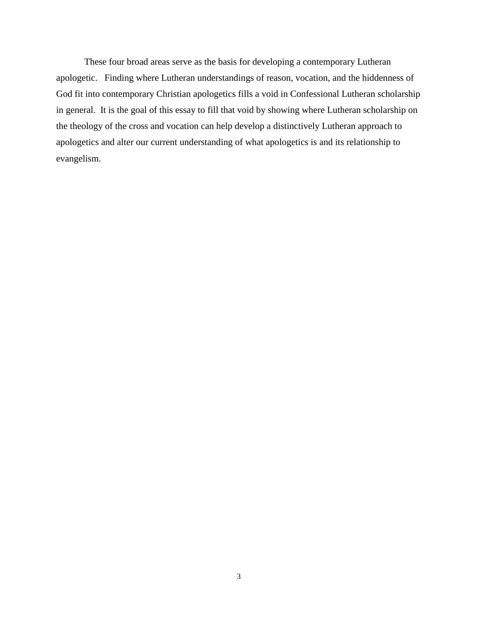These four broad areas serve as the basis for developing a contemporary Lutheran apologetic. Finding where Lutheran understandings of reason, vocation, and the hiddenness of God fit into contemporary Christian apologetics fills a void in Confessional Lutheran scholarship in general. It is the goal of this essay to fill that void by showing where Lutheran scholarship on the theology of the cross and vocation can help develop a distinctively Lutheran approach to apologetics and alter our current understanding of what apologetics is and its relationship to evangelism.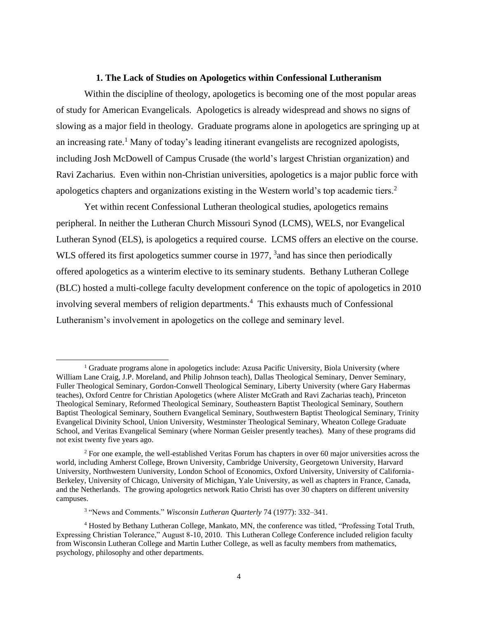## **1. The Lack of Studies on Apologetics within Confessional Lutheranism**

<span id="page-6-0"></span>Within the discipline of theology, apologetics is becoming one of the most popular areas of study for American Evangelicals. Apologetics is already widespread and shows no signs of slowing as a major field in theology. Graduate programs alone in apologetics are springing up at an increasing rate.<sup>1</sup> Many of today's leading itinerant evangelists are recognized apologists, including Josh McDowell of Campus Crusade (the world's largest Christian organization) and Ravi Zacharius. Even within non-Christian universities, apologetics is a major public force with apologetics chapters and organizations existing in the Western world's top academic tiers.<sup>2</sup>

Yet within recent Confessional Lutheran theological studies, apologetics remains peripheral. In neither the Lutheran Church Missouri Synod (LCMS), WELS, nor Evangelical Lutheran Synod (ELS), is apologetics a required course. LCMS offers an elective on the course. WLS offered its first apologetics summer course in 1977, <sup>3</sup> and has since then periodically offered apologetics as a winterim elective to its seminary students. Bethany Lutheran College (BLC) hosted a multi-college faculty development conference on the topic of apologetics in 2010 involving several members of religion departments.<sup>4</sup> This exhausts much of Confessional Lutheranism's involvement in apologetics on the college and seminary level.

 $<sup>1</sup>$  Graduate programs alone in apologetics include: Azusa Pacific University, Biola University (where</sup> William Lane Craig, J.P. Moreland, and Philip Johnson teach), Dallas Theological Seminary, Denver Seminary, Fuller Theological Seminary, Gordon-Conwell Theological Seminary, Liberty University (where Gary Habermas teaches), Oxford Centre for Christian Apologetics (where Alister McGrath and Ravi Zacharias teach), Princeton Theological Seminary, Reformed Theological Seminary, Southeastern Baptist Theological Seminary, Southern Baptist Theological Seminary, Southern Evangelical Seminary, Southwestern Baptist Theological Seminary, Trinity Evangelical Divinity School, Union University, Westminster Theological Seminary, Wheaton College Graduate School, and Veritas Evangelical Seminary (where Norman Geisler presently teaches). Many of these programs did not exist twenty five years ago.

 $2$  For one example, the well-established Veritas Forum has chapters in over 60 major universities across the world, including Amherst College, Brown University, Cambridge University, Georgetown University, Harvard University, Northwestern Uuniversity, London School of Economics, Oxford University, University of California-Berkeley, University of Chicago, University of Michigan, Yale University, as well as chapters in France, Canada, and the Netherlands. The growing apologetics network Ratio Christi has over 30 chapters on different university campuses.

<sup>3</sup> "News and Comments." *Wisconsin Lutheran Quarterly* 74 (1977): 332–341.

<sup>4</sup> Hosted by Bethany Lutheran College, Mankato, MN, the conference was titled, "Professing Total Truth, Expressing Christian Tolerance," August 8-10, 2010. This Lutheran College Conference included religion faculty from Wisconsin Lutheran College and Martin Luther College, as well as faculty members from mathematics, psychology, philosophy and other departments.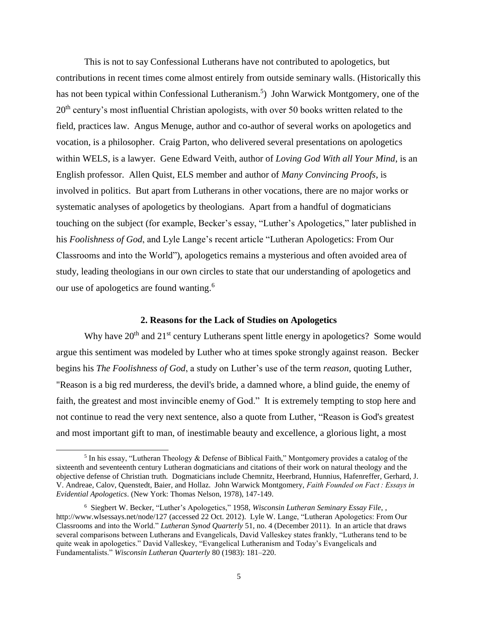This is not to say Confessional Lutherans have not contributed to apologetics, but contributions in recent times come almost entirely from outside seminary walls. (Historically this has not been typical within Confessional Lutheranism.<sup>5</sup>) John Warwick Montgomery, one of the  $20<sup>th</sup>$  century's most influential Christian apologists, with over 50 books written related to the field, practices law. Angus Menuge, author and co-author of several works on apologetics and vocation, is a philosopher. Craig Parton, who delivered several presentations on apologetics within WELS, is a lawyer. Gene Edward Veith, author of *Loving God With all Your Mind*, is an English professor. Allen Quist, ELS member and author of *Many Convincing Proofs*, is involved in politics. But apart from Lutherans in other vocations, there are no major works or systematic analyses of apologetics by theologians. Apart from a handful of dogmaticians touching on the subject (for example, Becker's essay, "Luther's Apologetics," later published in his *Foolishness of God*, and Lyle Lange's recent article "Lutheran Apologetics: From Our Classrooms and into the World"), apologetics remains a mysterious and often avoided area of study, leading theologians in our own circles to state that our understanding of apologetics and our use of apologetics are found wanting.<sup>6</sup>

## **2. Reasons for the Lack of Studies on Apologetics**

<span id="page-7-0"></span>Why have  $20<sup>th</sup>$  and  $21<sup>st</sup>$  century Lutherans spent little energy in apologetics? Some would argue this sentiment was modeled by Luther who at times spoke strongly against reason. Becker begins his *The Foolishness of God*, a study on Luther's use of the term *reason*, quoting Luther, "Reason is a big red murderess, the devil's bride, a damned whore, a blind guide, the enemy of faith, the greatest and most invincible enemy of God." It is extremely tempting to stop here and not continue to read the very next sentence, also a quote from Luther, "Reason is God's greatest and most important gift to man, of inestimable beauty and excellence, a glorious light, a most

<sup>&</sup>lt;sup>5</sup> In his essay, "Lutheran Theology & Defense of Biblical Faith," Montgomery provides a catalog of the sixteenth and seventeenth century Lutheran dogmaticians and citations of their work on natural theology and the objective defense of Christian truth. Dogmaticians include Chemnitz, Heerbrand, Hunnius, Hafenreffer, Gerhard, J. V. Andreae, Calov, Quenstedt, Baier, and Hollaz. John Warwick Montgomery, *Faith Founded on Fact : Essays in Evidential Apologetics*. (New York: Thomas Nelson, 1978), 147-149.

<sup>6</sup> Siegbert W. Becker, "Luther's Apologetics," 1958, *Wisconsin Lutheran Seminary Essay File*, , http://www.wlsessays.net/node/127 (accessed 22 Oct. 2012). Lyle W. Lange, "Lutheran Apologetics: From Our Classrooms and into the World." *Lutheran Synod Quarterly* 51, no. 4 (December 2011). In an article that draws several comparisons between Lutherans and Evangelicals, David Valleskey states frankly, "Lutherans tend to be quite weak in apologetics." David Valleskey, "Evangelical Lutheranism and Today's Evangelicals and Fundamentalists." *Wisconsin Lutheran Quarterly* 80 (1983): 181–220.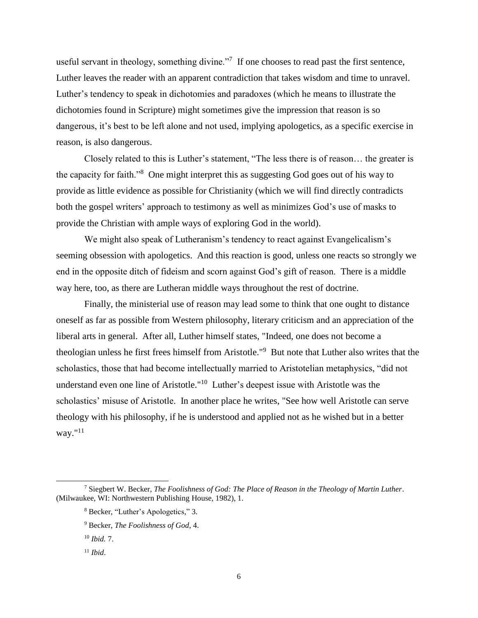useful servant in theology, something divine."<sup>7</sup> If one chooses to read past the first sentence, Luther leaves the reader with an apparent contradiction that takes wisdom and time to unravel. Luther's tendency to speak in dichotomies and paradoxes (which he means to illustrate the dichotomies found in Scripture) might sometimes give the impression that reason is so dangerous, it's best to be left alone and not used, implying apologetics, as a specific exercise in reason, is also dangerous.

Closely related to this is Luther's statement, "The less there is of reason… the greater is the capacity for faith."<sup>8</sup> One might interpret this as suggesting God goes out of his way to provide as little evidence as possible for Christianity (which we will find directly contradicts both the gospel writers' approach to testimony as well as minimizes God's use of masks to provide the Christian with ample ways of exploring God in the world).

We might also speak of Lutheranism's tendency to react against Evangelicalism's seeming obsession with apologetics. And this reaction is good, unless one reacts so strongly we end in the opposite ditch of fideism and scorn against God's gift of reason. There is a middle way here, too, as there are Lutheran middle ways throughout the rest of doctrine.

Finally, the ministerial use of reason may lead some to think that one ought to distance oneself as far as possible from Western philosophy, literary criticism and an appreciation of the liberal arts in general. After all, Luther himself states, "Indeed, one does not become a theologian unless he first frees himself from Aristotle."<sup>9</sup> But note that Luther also writes that the scholastics, those that had become intellectually married to Aristotelian metaphysics, "did not understand even one line of Aristotle."<sup>10</sup> Luther's deepest issue with Aristotle was the scholastics' misuse of Aristotle. In another place he writes, "See how well Aristotle can serve theology with his philosophy, if he is understood and applied not as he wished but in a better way."<sup>11</sup>

<sup>7</sup> Siegbert W. Becker, *The Foolishness of God: The Place of Reason in the Theology of Martin Luther*. (Milwaukee, WI: Northwestern Publishing House, 1982), 1.

<sup>8</sup> Becker, "Luther's Apologetics," 3.

<sup>9</sup> Becker, *The Foolishness of God*, 4.

<sup>10</sup> *Ibid.* 7.

<sup>11</sup> *Ibid*.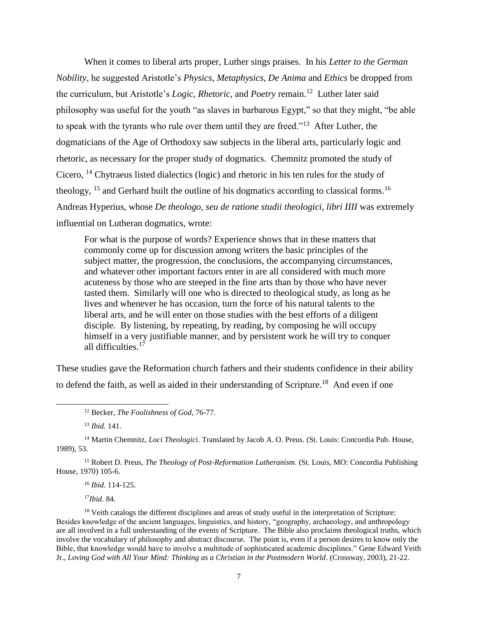When it comes to liberal arts proper, Luther sings praises. In his *Letter to the German Nobility*, he suggested Aristotle's *Physics, Metaphysics, De Anima* and *Ethics* be dropped from the curriculum, but Aristotle's *Logic, Rhetoric,* and *Poetry* remain.<sup>12</sup> Luther later said philosophy was useful for the youth "as slaves in barbarous Egypt," so that they might, "be able to speak with the tyrants who rule over them until they are freed."<sup>13</sup> After Luther, the dogmaticians of the Age of Orthodoxy saw subjects in the liberal arts, particularly logic and rhetoric, as necessary for the proper study of dogmatics. Chemnitz promoted the study of Cicero, <sup>14</sup> Chytraeus listed dialectics (logic) and rhetoric in his ten rules for the study of theology,  $15$  and Gerhard built the outline of his dogmatics according to classical forms.<sup>16</sup> Andreas Hyperius, whose *De theologo, seu de ratione studii theologici, libri IIII* was extremely influential on Lutheran dogmatics, wrote:

For what is the purpose of words? Experience shows that in these matters that commonly come up for discussion among writers the basic principles of the subject matter, the progression, the conclusions, the accompanying circumstances, and whatever other important factors enter in are all considered with much more acuteness by those who are steeped in the fine arts than by those who have never tasted them. Similarly will one who is directed to theological study, as long as he lives and whenever he has occasion, turn the force of his natural talents to the liberal arts, and he will enter on those studies with the best efforts of a diligent disciple. By listening, by repeating, by reading, by composing he will occupy himself in a very justifiable manner, and by persistent work he will try to conquer all difficulties. 17

These studies gave the Reformation church fathers and their students confidence in their ability to defend the faith, as well as aided in their understanding of Scripture.<sup>18</sup> And even if one

<sup>13</sup> *Ibid.* 141.

 $\overline{a}$ 

<sup>14</sup> Martin Chemnitz, *Loci Theologici*. Translated by Jacob A. O. Preus. (St. Louis: Concordia Pub. House, 1989), 53.

<sup>15</sup> Robert D. Preus, *The Theology of Post-Reformation Lutheranism*. (St. Louis, MO: Concordia Publishing House, 1970) 105-6.

<sup>16</sup> *Ibid*. 114-125.

<sup>17</sup>*Ibid.* 84.

<sup>18</sup> Veith catalogs the different disciplines and areas of study useful in the interpretation of Scripture: Besides knowledge of the ancient languages, linguistics, and history, "geography, archaeology, and anthropology are all involved in a full understanding of the events of Scripture. The Bible also proclaims theological truths, which involve the vocabulary of philosophy and abstract discourse. The point is, even if a person desires to know only the Bible, that knowledge would have to involve a multitude of sophisticated academic disciplines." Gene Edward Veith Jr., *Loving God with All Your Mind: Thinking as a Christian in the Postmodern World*. (Crossway, 2003), 21-22.

<sup>12</sup> Becker, *The Foolishness of God*, 76-77.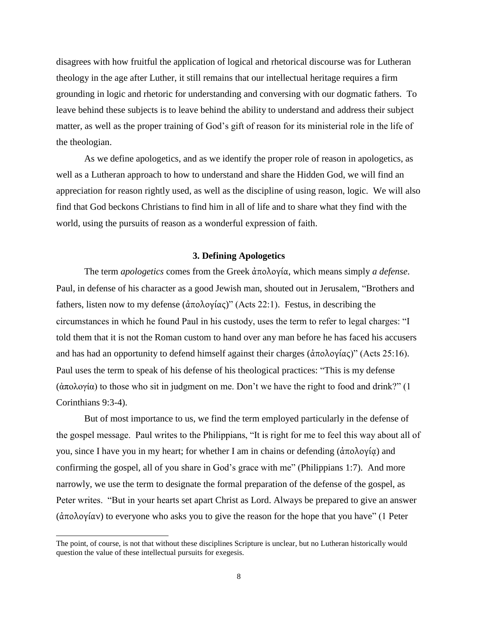disagrees with how fruitful the application of logical and rhetorical discourse was for Lutheran theology in the age after Luther, it still remains that our intellectual heritage requires a firm grounding in logic and rhetoric for understanding and conversing with our dogmatic fathers. To leave behind these subjects is to leave behind the ability to understand and address their subject matter, as well as the proper training of God's gift of reason for its ministerial role in the life of the theologian.

As we define apologetics, and as we identify the proper role of reason in apologetics, as well as a Lutheran approach to how to understand and share the Hidden God, we will find an appreciation for reason rightly used, as well as the discipline of using reason, logic. We will also find that God beckons Christians to find him in all of life and to share what they find with the world, using the pursuits of reason as a wonderful expression of faith.

## **3. Defining Apologetics**

<span id="page-10-0"></span>The term *apologetics* comes from the Greek ἀπολογία, which means simply *a defense*. Paul, in defense of his character as a good Jewish man, shouted out in Jerusalem, "Brothers and fathers, listen now to my defense (ἀπολογίας)" (Acts 22:1). Festus, in describing the circumstances in which he found Paul in his custody, uses the term to refer to legal charges: "I told them that it is not the Roman custom to hand over any man before he has faced his accusers and has had an opportunity to defend himself against their charges (ἀπολογίας)" (Acts 25:16). Paul uses the term to speak of his defense of his theological practices: "This is my defense (ἀπολογία) to those who sit in judgment on me. Don't we have the right to food and drink?" (1 Corinthians 9:3-4).

But of most importance to us, we find the term employed particularly in the defense of the gospel message. Paul writes to the Philippians, "It is right for me to feel this way about all of you, since I have you in my heart; for whether I am in chains or defending (ἀπολογίᾳ) and confirming the gospel, all of you share in God's grace with me" (Philippians 1:7). And more narrowly, we use the term to designate the formal preparation of the defense of the gospel, as Peter writes. "But in your hearts set apart Christ as Lord. Always be prepared to give an answer (ἀπολογίαν) to everyone who asks you to give the reason for the hope that you have" (1 Peter

The point, of course, is not that without these disciplines Scripture is unclear, but no Lutheran historically would question the value of these intellectual pursuits for exegesis.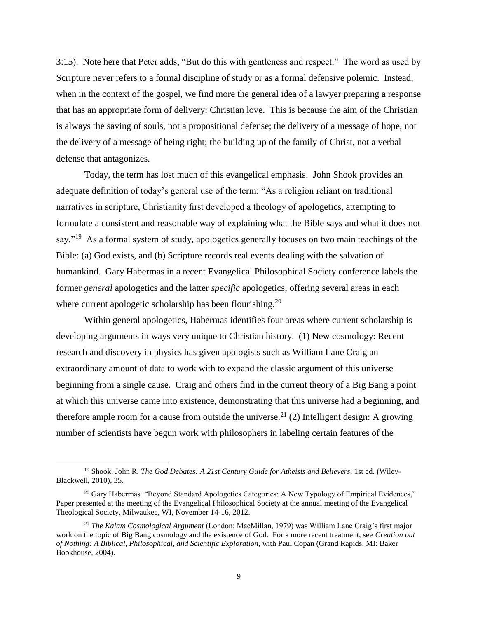3:15). Note here that Peter adds, "But do this with gentleness and respect." The word as used by Scripture never refers to a formal discipline of study or as a formal defensive polemic. Instead, when in the context of the gospel, we find more the general idea of a lawyer preparing a response that has an appropriate form of delivery: Christian love. This is because the aim of the Christian is always the saving of souls, not a propositional defense; the delivery of a message of hope, not the delivery of a message of being right; the building up of the family of Christ, not a verbal defense that antagonizes.

Today, the term has lost much of this evangelical emphasis. John Shook provides an adequate definition of today's general use of the term: "As a religion reliant on traditional narratives in scripture, Christianity first developed a theology of apologetics, attempting to formulate a consistent and reasonable way of explaining what the Bible says and what it does not say."<sup>19</sup> As a formal system of study, apologetics generally focuses on two main teachings of the Bible: (a) God exists, and (b) Scripture records real events dealing with the salvation of humankind. Gary Habermas in a recent Evangelical Philosophical Society conference labels the former *general* apologetics and the latter *specific* apologetics, offering several areas in each where current apologetic scholarship has been flourishing.<sup>20</sup>

Within general apologetics, Habermas identifies four areas where current scholarship is developing arguments in ways very unique to Christian history. (1) New cosmology: Recent research and discovery in physics has given apologists such as William Lane Craig an extraordinary amount of data to work with to expand the classic argument of this universe beginning from a single cause. Craig and others find in the current theory of a Big Bang a point at which this universe came into existence, demonstrating that this universe had a beginning, and therefore ample room for a cause from outside the universe.<sup>21</sup> (2) Intelligent design: A growing number of scientists have begun work with philosophers in labeling certain features of the

l

<sup>19</sup> Shook, John R. *The God Debates: A 21st Century Guide for Atheists and Believers*. 1st ed. (Wiley-Blackwell, 2010), 35.

 $^{20}$  Gary Habermas. "Beyond Standard Apologetics Categories: A New Typology of Empirical Evidences," Paper presented at the meeting of the Evangelical Philosophical Society at the annual meeting of the Evangelical Theological Society, Milwaukee, WI, November 14-16, 2012.

<sup>21</sup> *The Kalam Cosmological Argument* (London: MacMillan, 1979) was William Lane Craig's first major work on the topic of Big Bang cosmology and the existence of God. For a more recent treatment, see *Creation out of Nothing: A Biblical, Philosophical, and Scientific Exploration,* with Paul Copan (Grand Rapids, MI: Baker Bookhouse, 2004).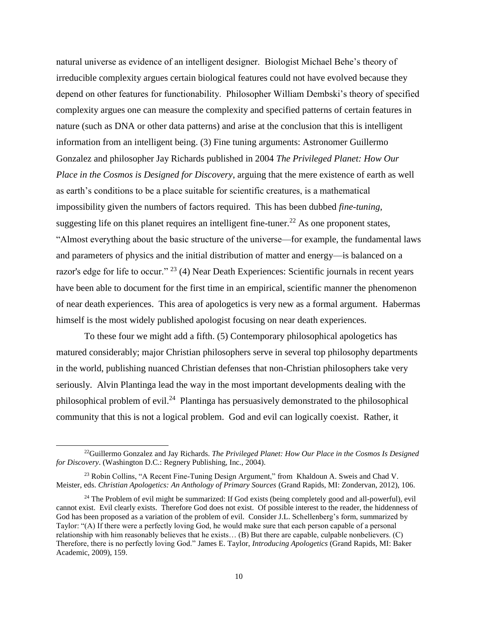natural universe as evidence of an intelligent designer. Biologist Michael Behe's theory of irreducible complexity argues certain biological features could not have evolved because they depend on other features for functionability. Philosopher William Dembski's theory of specified complexity argues one can measure the complexity and specified patterns of certain features in nature (such as DNA or other data patterns) and arise at the conclusion that this is intelligent information from an intelligent being. (3) Fine tuning arguments: Astronomer Guillermo Gonzalez and philosopher Jay Richards published in 2004 *The Privileged Planet: How Our Place in the Cosmos is Designed for Discovery*, arguing that the mere existence of earth as well as earth's conditions to be a place suitable for scientific creatures, is a mathematical impossibility given the numbers of factors required. This has been dubbed *fine-tuning*, suggesting life on this planet requires an intelligent fine-tuner.<sup>22</sup> As one proponent states, "Almost everything about the basic structure of the universe—for example, the fundamental laws and parameters of physics and the initial distribution of matter and energy—is balanced on a razor's edge for life to occur." <sup>23</sup> (4) Near Death Experiences: Scientific journals in recent years have been able to document for the first time in an empirical, scientific manner the phenomenon of near death experiences. This area of apologetics is very new as a formal argument. Habermas himself is the most widely published apologist focusing on near death experiences.

To these four we might add a fifth. (5) Contemporary philosophical apologetics has matured considerably; major Christian philosophers serve in several top philosophy departments in the world, publishing nuanced Christian defenses that non-Christian philosophers take very seriously. Alvin Plantinga lead the way in the most important developments dealing with the philosophical problem of evil.<sup>24</sup> Plantinga has persuasively demonstrated to the philosophical community that this is not a logical problem. God and evil can logically coexist. Rather, it

<sup>22</sup>Guillermo Gonzalez and Jay Richards. *The Privileged Planet: How Our Place in the Cosmos Is Designed for Discovery*. (Washington D.C.: Regnery Publishing, Inc., 2004).

<sup>&</sup>lt;sup>23</sup> Robin Collins, "A Recent Fine-Tuning Design Argument," from Khaldoun A. Sweis and Chad V. Meister, eds. *Christian Apologetics: An Anthology of Primary Sources* (Grand Rapids, MI: Zondervan, 2012), 106.

<sup>&</sup>lt;sup>24</sup> The Problem of evil might be summarized: If God exists (being completely good and all-powerful), evil cannot exist. Evil clearly exists. Therefore God does not exist. Of possible interest to the reader, the hiddenness of God has been proposed as a variation of the problem of evil. Consider J.L. Schellenberg's form, summarized by Taylor: "(A) If there were a perfectly loving God, he would make sure that each person capable of a personal relationship with him reasonably believes that he exists… (B) But there are capable, culpable nonbelievers. (C) Therefore, there is no perfectly loving God." James E. Taylor, *Introducing Apologetics* (Grand Rapids, MI: Baker Academic, 2009), 159.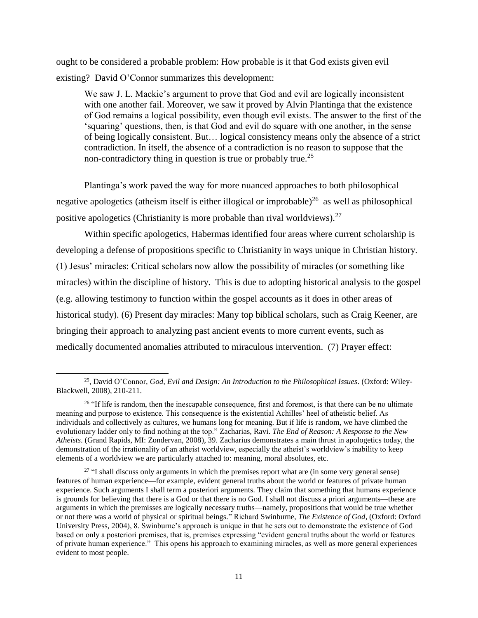ought to be considered a probable problem: How probable is it that God exists given evil existing? David O'Connor summarizes this development:

We saw J. L. Mackie's argument to prove that God and evil are logically inconsistent with one another fail. Moreover, we saw it proved by Alvin Plantinga that the existence of God remains a logical possibility, even though evil exists. The answer to the first of the 'squaring' questions, then, is that God and evil do square with one another, in the sense of being logically consistent. But… logical consistency means only the absence of a strict contradiction. In itself, the absence of a contradiction is no reason to suppose that the non-contradictory thing in question is true or probably true.<sup>25</sup>

Plantinga's work paved the way for more nuanced approaches to both philosophical negative apologetics (atheism itself is either illogical or improbable)<sup>26</sup> as well as philosophical positive apologetics (Christianity is more probable than rival worldviews).<sup>27</sup>

Within specific apologetics, Habermas identified four areas where current scholarship is developing a defense of propositions specific to Christianity in ways unique in Christian history. (1) Jesus' miracles: Critical scholars now allow the possibility of miracles (or something like miracles) within the discipline of history. This is due to adopting historical analysis to the gospel (e.g. allowing testimony to function within the gospel accounts as it does in other areas of historical study). (6) Present day miracles: Many top biblical scholars, such as Craig Keener, are bringing their approach to analyzing past ancient events to more current events, such as medically documented anomalies attributed to miraculous intervention. (7) Prayer effect:

l

<sup>25</sup>, David O'Connor, *God, Evil and Design: An Introduction to the Philosophical Issues*. (Oxford: Wiley-Blackwell, 2008), 210-211.

 $26$  "If life is random, then the inescapable consequence, first and foremost, is that there can be no ultimate meaning and purpose to existence. This consequence is the existential Achilles' heel of atheistic belief. As individuals and collectively as cultures, we humans long for meaning. But if life is random, we have climbed the evolutionary ladder only to find nothing at the top." Zacharias, Ravi. *The End of Reason: A Response to the New Atheists*. (Grand Rapids, MI: Zondervan, 2008), 39. Zacharius demonstrates a main thrust in apologetics today, the demonstration of the irrationality of an atheist worldview, especially the atheist's worldview's inability to keep elements of a worldview we are particularly attached to: meaning, moral absolutes, etc.

<sup>&</sup>lt;sup>27</sup> "I shall discuss only arguments in which the premises report what are (in some very general sense) features of human experience—for example, evident general truths about the world or features of private human experience. Such arguments I shall term a posteriori arguments. They claim that something that humans experience is grounds for believing that there is a God or that there is no God. I shall not discuss a priori arguments—these are arguments in which the premisses are logically necessary truths—namely, propositions that would be true whether or not there was a world of physical or spiritual beings." Richard Swinburne, *The Existence of God,* (Oxford: Oxford University Press, 2004), 8. Swinburne's approach is unique in that he sets out to demonstrate the existence of God based on only a posteriori premises, that is, premises expressing "evident general truths about the world or features of private human experience." This opens his approach to examining miracles, as well as more general experiences evident to most people.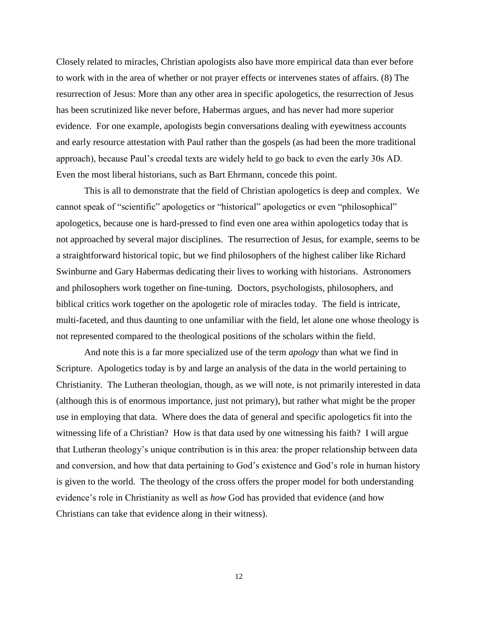Closely related to miracles, Christian apologists also have more empirical data than ever before to work with in the area of whether or not prayer effects or intervenes states of affairs. (8) The resurrection of Jesus: More than any other area in specific apologetics, the resurrection of Jesus has been scrutinized like never before, Habermas argues, and has never had more superior evidence. For one example, apologists begin conversations dealing with eyewitness accounts and early resource attestation with Paul rather than the gospels (as had been the more traditional approach), because Paul's creedal texts are widely held to go back to even the early 30s AD. Even the most liberal historians, such as Bart Ehrmann, concede this point.

This is all to demonstrate that the field of Christian apologetics is deep and complex. We cannot speak of "scientific" apologetics or "historical" apologetics or even "philosophical" apologetics, because one is hard-pressed to find even one area within apologetics today that is not approached by several major disciplines. The resurrection of Jesus, for example, seems to be a straightforward historical topic, but we find philosophers of the highest caliber like Richard Swinburne and Gary Habermas dedicating their lives to working with historians. Astronomers and philosophers work together on fine-tuning. Doctors, psychologists, philosophers, and biblical critics work together on the apologetic role of miracles today. The field is intricate, multi-faceted, and thus daunting to one unfamiliar with the field, let alone one whose theology is not represented compared to the theological positions of the scholars within the field.

And note this is a far more specialized use of the term *apology* than what we find in Scripture. Apologetics today is by and large an analysis of the data in the world pertaining to Christianity. The Lutheran theologian, though, as we will note, is not primarily interested in data (although this is of enormous importance, just not primary), but rather what might be the proper use in employing that data. Where does the data of general and specific apologetics fit into the witnessing life of a Christian? How is that data used by one witnessing his faith? I will argue that Lutheran theology's unique contribution is in this area: the proper relationship between data and conversion, and how that data pertaining to God's existence and God's role in human history is given to the world. The theology of the cross offers the proper model for both understanding evidence's role in Christianity as well as *how* God has provided that evidence (and how Christians can take that evidence along in their witness).

12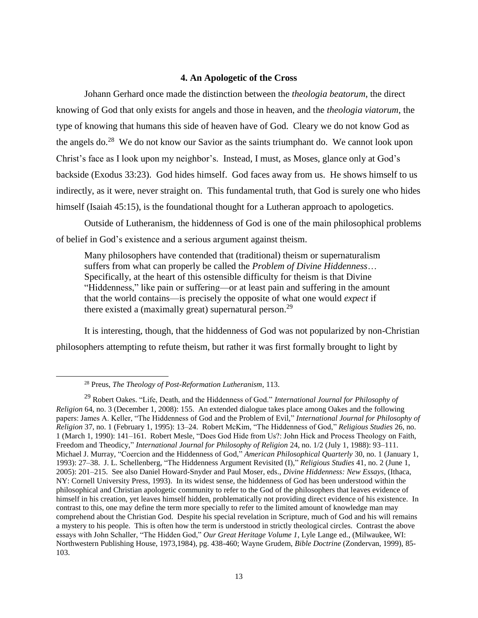## **4. An Apologetic of the Cross**

<span id="page-15-0"></span>Johann Gerhard once made the distinction between the *theologia beatorum*, the direct knowing of God that only exists for angels and those in heaven, and the *theologia viatorum*, the type of knowing that humans this side of heaven have of God. Cleary we do not know God as the angels do.<sup>28</sup> We do not know our Savior as the saints triumphant do. We cannot look upon Christ's face as I look upon my neighbor's. Instead, I must, as Moses, glance only at God's backside (Exodus 33:23). God hides himself. God faces away from us. He shows himself to us indirectly, as it were, never straight on. This fundamental truth, that God is surely one who hides himself (Isaiah 45:15), is the foundational thought for a Lutheran approach to apologetics.

Outside of Lutheranism, the hiddenness of God is one of the main philosophical problems of belief in God's existence and a serious argument against theism.

Many philosophers have contended that (traditional) theism or supernaturalism suffers from what can properly be called the *Problem of Divine Hiddenness*… Specifically, at the heart of this ostensible difficulty for theism is that Divine "Hiddenness," like pain or suffering—or at least pain and suffering in the amount that the world contains—is precisely the opposite of what one would *expect* if there existed a (maximally great) supernatural person.<sup>29</sup>

It is interesting, though, that the hiddenness of God was not popularized by non-Christian philosophers attempting to refute theism, but rather it was first formally brought to light by

l

<sup>28</sup> Preus, *The Theology of Post-Reformation Lutheranism,* 113.

<sup>29</sup> Robert Oakes. "Life, Death, and the Hiddenness of God." *International Journal for Philosophy of Religion* 64, no. 3 (December 1, 2008): 155. An extended dialogue takes place among Oakes and the following papers: James A. Keller, "The Hiddenness of God and the Problem of Evil," *International Journal for Philosophy of Religion* 37, no. 1 (February 1, 1995): 13–24. Robert McKim, "The Hiddenness of God," *Religious Studies* 26, no. 1 (March 1, 1990): 141–161. Robert Mesle, "Does God Hide from Us?: John Hick and Process Theology on Faith, Freedom and Theodicy," *International Journal for Philosophy of Religion* 24, no. 1/2 (July 1, 1988): 93–111. Michael J. Murray, "Coercion and the Hiddenness of God," *American Philosophical Quarterly* 30, no. 1 (January 1, 1993): 27–38. J. L. Schellenberg, "The Hiddenness Argument Revisited (I)," *Religious Studies* 41, no. 2 (June 1, 2005): 201–215. See also Daniel Howard-Snyder and Paul Moser, eds., *Divine Hiddenness: New Essays*, (Ithaca, NY: Cornell University Press, 1993). In its widest sense, the hiddenness of God has been understood within the philosophical and Christian apologetic community to refer to the God of the philosophers that leaves evidence of himself in his creation, yet leaves himself hidden, problematically not providing direct evidence of his existence. In contrast to this, one may define the term more specially to refer to the limited amount of knowledge man may comprehend about the Christian God. Despite his special revelation in Scripture, much of God and his will remains a mystery to his people. This is often how the term is understood in strictly theological circles. Contrast the above essays with John Schaller, "The Hidden God," *Our Great Heritage Volume 1*, Lyle Lange ed., (Milwaukee, WI: Northwestern Publishing House, 1973,1984), pg. 438-460; Wayne Grudem, *Bible Doctrine* (Zondervan, 1999), 85- 103.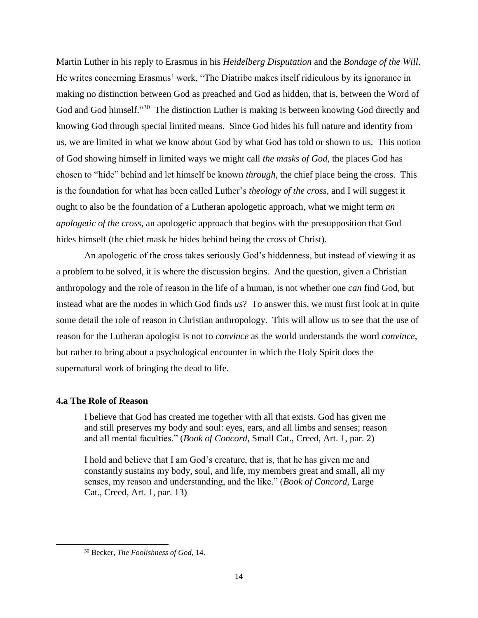Martin Luther in his reply to Erasmus in his *Heidelberg Disputation* and the *Bondage of the Will*. He writes concerning Erasmus' work, "The Diatribe makes itself ridiculous by its ignorance in making no distinction between God as preached and God as hidden, that is, between the Word of God and God himself."<sup>30</sup> The distinction Luther is making is between knowing God directly and knowing God through special limited means. Since God hides his full nature and identity from us, we are limited in what we know about God by what God has told or shown to us. This notion of God showing himself in limited ways we might call *the masks of God*, the places God has chosen to "hide" behind and let himself be known *through*, the chief place being the cross. This is the foundation for what has been called Luther's *theology of the cross*, and I will suggest it ought to also be the foundation of a Lutheran apologetic approach, what we might term *an apologetic of the cross*, an apologetic approach that begins with the presupposition that God hides himself (the chief mask he hides behind being the cross of Christ).

An apologetic of the cross takes seriously God's hiddenness, but instead of viewing it as a problem to be solved, it is where the discussion begins. And the question, given a Christian anthropology and the role of reason in the life of a human, is not whether one *can* find God, but instead what are the modes in which God finds *us*? To answer this, we must first look at in quite some detail the role of reason in Christian anthropology. This will allow us to see that the use of reason for the Lutheran apologist is not to *convince* as the world understands the word *convince*, but rather to bring about a psychological encounter in which the Holy Spirit does the supernatural work of bringing the dead to life.

## <span id="page-16-0"></span>**4.a The Role of Reason**

l

I believe that God has created me together with all that exists. God has given me and still preserves my body and soul: eyes, ears, and all limbs and senses; reason and all mental faculties." (*Book of Concord*, Small Cat., Creed, Art. 1, par. 2)

I hold and believe that I am God's creature, that is, that he has given me and constantly sustains my body, soul, and life, my members great and small, all my senses, my reason and understanding, and the like." (*Book of Concord*, Large Cat., Creed, Art. 1, par. 13)

<sup>30</sup> Becker, *The Foolishness of God*, 14.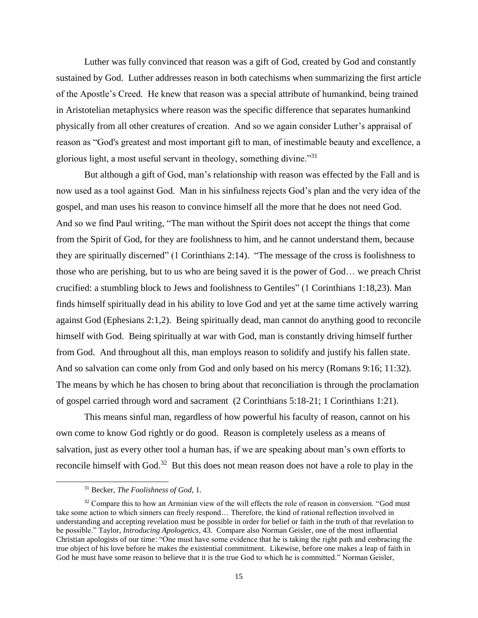Luther was fully convinced that reason was a gift of God, created by God and constantly sustained by God. Luther addresses reason in both catechisms when summarizing the first article of the Apostle's Creed. He knew that reason was a special attribute of humankind, being trained in Aristotelian metaphysics where reason was the specific difference that separates humankind physically from all other creatures of creation. And so we again consider Luther's appraisal of reason as "God's greatest and most important gift to man, of inestimable beauty and excellence, a glorious light, a most useful servant in theology, something divine."<sup>31</sup>

But although a gift of God, man's relationship with reason was effected by the Fall and is now used as a tool against God. Man in his sinfulness rejects God's plan and the very idea of the gospel, and man uses his reason to convince himself all the more that he does not need God. And so we find Paul writing, "The man without the Spirit does not accept the things that come from the Spirit of God, for they are foolishness to him, and he cannot understand them, because they are spiritually discerned" (1 Corinthians 2:14). "The message of the cross is foolishness to those who are perishing, but to us who are being saved it is the power of God… we preach Christ crucified: a stumbling block to Jews and foolishness to Gentiles" (1 Corinthians 1:18,23). Man finds himself spiritually dead in his ability to love God and yet at the same time actively warring against God (Ephesians 2:1,2). Being spiritually dead, man cannot do anything good to reconcile himself with God. Being spiritually at war with God, man is constantly driving himself further from God. And throughout all this, man employs reason to solidify and justify his fallen state. And so salvation can come only from God and only based on his mercy (Romans 9:16; 11:32). The means by which he has chosen to bring about that reconciliation is through the proclamation of gospel carried through word and sacrament (2 Corinthians 5:18-21; 1 Corinthians 1:21).

This means sinful man, regardless of how powerful his faculty of reason, cannot on his own come to know God rightly or do good. Reason is completely useless as a means of salvation, just as every other tool a human has, if we are speaking about man's own efforts to reconcile himself with God.<sup>32</sup> But this does not mean reason does not have a role to play in the

<sup>31</sup> Becker, *The Foolishness of God*, 1.

<sup>&</sup>lt;sup>32</sup> Compare this to how an Arminian view of the will effects the role of reason in conversion. "God must take some action to which sinners can freely respond… Therefore, the kind of rational reflection involved in understanding and accepting revelation must be possible in order for belief or faith in the truth of that revelation to be possible." Taylor, *Introducing Apologetics,* 43. Compare also Norman Geisler, one of the most influential Christian apologists of our time: "One must have some evidence that he is taking the right path and embracing the true object of his love before he makes the existential commitment. Likewise, before one makes a leap of faith in God he must have some reason to believe that it is the true God to which he is committed." Norman Geisler,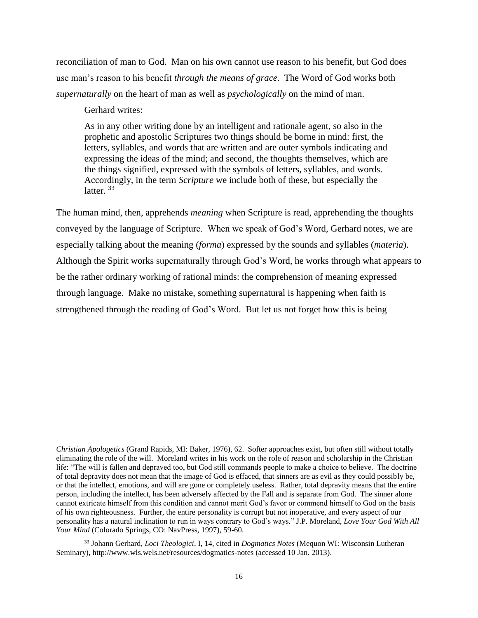reconciliation of man to God. Man on his own cannot use reason to his benefit, but God does use man's reason to his benefit *through the means of grace*. The Word of God works both *supernaturally* on the heart of man as well as *psychologically* on the mind of man.

Gerhard writes:

 $\overline{a}$ 

As in any other writing done by an intelligent and rationale agent, so also in the prophetic and apostolic Scriptures two things should be borne in mind: first, the letters, syllables, and words that are written and are outer symbols indicating and expressing the ideas of the mind; and second, the thoughts themselves, which are the things signified, expressed with the symbols of letters, syllables, and words. Accordingly, in the term *Scripture* we include both of these, but especially the latter.<sup>33</sup>

The human mind, then, apprehends *meaning* when Scripture is read, apprehending the thoughts conveyed by the language of Scripture. When we speak of God's Word, Gerhard notes, we are especially talking about the meaning (*forma*) expressed by the sounds and syllables (*materia*). Although the Spirit works supernaturally through God's Word, he works through what appears to be the rather ordinary working of rational minds: the comprehension of meaning expressed through language. Make no mistake, something supernatural is happening when faith is strengthened through the reading of God's Word. But let us not forget how this is being

*Christian Apologetics* (Grand Rapids, MI: Baker, 1976), 62. Softer approaches exist, but often still without totally eliminating the role of the will. Moreland writes in his work on the role of reason and scholarship in the Christian life: "The will is fallen and depraved too, but God still commands people to make a choice to believe. The doctrine of total depravity does not mean that the image of God is effaced, that sinners are as evil as they could possibly be, or that the intellect, emotions, and will are gone or completely useless. Rather, total depravity means that the entire person, including the intellect, has been adversely affected by the Fall and is separate from God. The sinner alone cannot extricate himself from this condition and cannot merit God's favor or commend himself to God on the basis of his own righteousness. Further, the entire personality is corrupt but not inoperative, and every aspect of our personality has a natural inclination to run in ways contrary to God's ways." J.P. Moreland, *Love Your God With All Your Mind* (Colorado Springs, CO: NavPress, 1997), 59-60.

<sup>33</sup> Johann Gerhard, *Loci Theologici*, I, 14, cited in *Dogmatics Notes* (Mequon WI: Wisconsin Lutheran Seminary), http://www.wls.wels.net/resources/dogmatics-notes (accessed 10 Jan. 2013).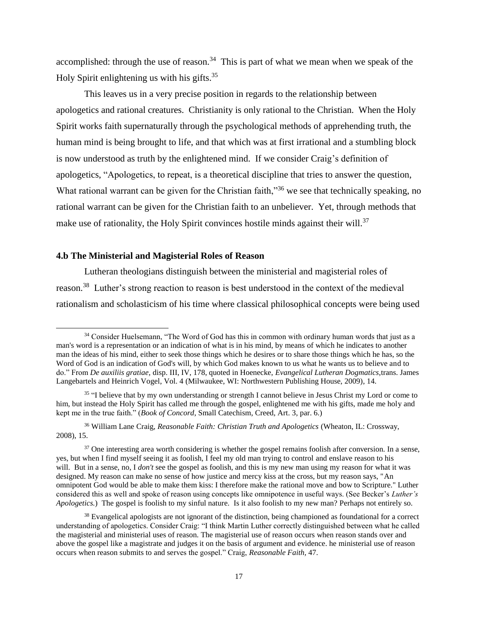accomplished: through the use of reason.<sup>34</sup> This is part of what we mean when we speak of the Holy Spirit enlightening us with his gifts.<sup>35</sup>

This leaves us in a very precise position in regards to the relationship between apologetics and rational creatures. Christianity is only rational to the Christian. When the Holy Spirit works faith supernaturally through the psychological methods of apprehending truth, the human mind is being brought to life, and that which was at first irrational and a stumbling block is now understood as truth by the enlightened mind. If we consider Craig's definition of apologetics, "Apologetics, to repeat, is a theoretical discipline that tries to answer the question, What rational warrant can be given for the Christian faith,"<sup>36</sup> we see that technically speaking, no rational warrant can be given for the Christian faith to an unbeliever. Yet, through methods that make use of rationality, the Holy Spirit convinces hostile minds against their will.<sup>37</sup>

## <span id="page-19-0"></span>**4.b The Ministerial and Magisterial Roles of Reason**

 $\overline{a}$ 

Lutheran theologians distinguish between the ministerial and magisterial roles of reason.<sup>38</sup> Luther's strong reaction to reason is best understood in the context of the medieval rationalism and scholasticism of his time where classical philosophical concepts were being used

<sup>&</sup>lt;sup>34</sup> Consider Huelsemann, "The Word of God has this in common with ordinary human words that just as a man's word is a representation or an indication of what is in his mind, by means of which he indicates to another man the ideas of his mind, either to seek those things which he desires or to share those things which he has, so the Word of God is an indication of God's will, by which God makes known to us what he wants us to believe and to do." From *De auxiliis gratiae,* disp. III, IV, 178, quoted in Hoenecke, *Evangelical Lutheran Dogmatics*,trans. James Langebartels and Heinrich Vogel, Vol. 4 (Milwaukee, WI: Northwestern Publishing House, 2009), 14.

<sup>&</sup>lt;sup>35</sup> "I believe that by my own understanding or strength I cannot believe in Jesus Christ my Lord or come to him, but instead the Holy Spirit has called me through the gospel, enlightened me with his gifts, made me holy and kept me in the true faith." (*Book of Concord*, Small Catechism, Creed, Art. 3, par. 6.)

<sup>36</sup> William Lane Craig, *Reasonable Faith: Christian Truth and Apologetics* (Wheaton, IL: Crossway, 2008), 15.

<sup>&</sup>lt;sup>37</sup> One interesting area worth considering is whether the gospel remains foolish after conversion. In a sense, yes, but when I find myself seeing it as foolish, I feel my old man trying to control and enslave reason to his will. But in a sense, no, I *don't* see the gospel as foolish, and this is my new man using my reason for what it was designed. My reason can make no sense of how justice and mercy kiss at the cross, but my reason says, "An omnipotent God would be able to make them kiss: I therefore make the rational move and bow to Scripture." Luther considered this as well and spoke of reason using concepts like omnipotence in useful ways. (See Becker's *Luther's Apologetics.*) The gospel is foolish to my sinful nature. Is it also foolish to my new man? Perhaps not entirely so.

<sup>&</sup>lt;sup>38</sup> Evangelical apologists are not ignorant of the distinction, being championed as foundational for a correct understanding of apologetics. Consider Craig: "I think Martin Luther correctly distinguished between what he called the magisterial and ministerial uses of reason. The magisterial use of reason occurs when reason stands over and above the gospel like a magistrate and judges it on the basis of argument and evidence. he ministerial use of reason occurs when reason submits to and serves the gospel." Craig, *Reasonable Faith,* 47.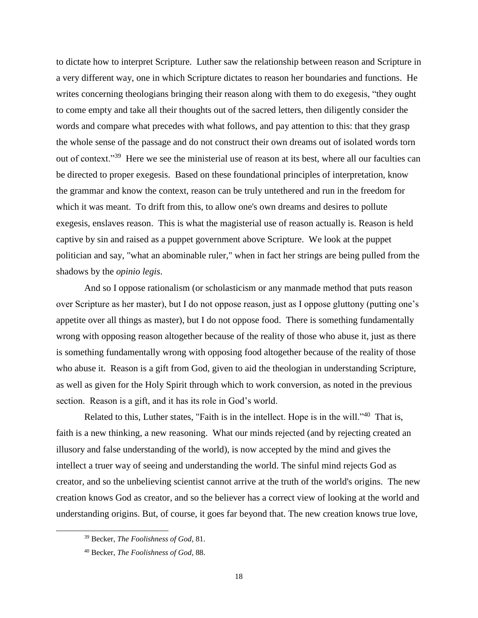to dictate how to interpret Scripture. Luther saw the relationship between reason and Scripture in a very different way, one in which Scripture dictates to reason her boundaries and functions. He writes concerning theologians bringing their reason along with them to do exegesis, "they ought to come empty and take all their thoughts out of the sacred letters, then diligently consider the words and compare what precedes with what follows, and pay attention to this: that they grasp the whole sense of the passage and do not construct their own dreams out of isolated words torn out of context."<sup>39</sup> Here we see the ministerial use of reason at its best, where all our faculties can be directed to proper exegesis. Based on these foundational principles of interpretation, know the grammar and know the context, reason can be truly untethered and run in the freedom for which it was meant. To drift from this, to allow one's own dreams and desires to pollute exegesis, enslaves reason. This is what the magisterial use of reason actually is. Reason is held captive by sin and raised as a puppet government above Scripture. We look at the puppet politician and say, "what an abominable ruler," when in fact her strings are being pulled from the shadows by the *opinio legis*.

And so I oppose rationalism (or scholasticism or any manmade method that puts reason over Scripture as her master), but I do not oppose reason, just as I oppose gluttony (putting one's appetite over all things as master), but I do not oppose food. There is something fundamentally wrong with opposing reason altogether because of the reality of those who abuse it, just as there is something fundamentally wrong with opposing food altogether because of the reality of those who abuse it. Reason is a gift from God, given to aid the theologian in understanding Scripture, as well as given for the Holy Spirit through which to work conversion, as noted in the previous section. Reason is a gift, and it has its role in God's world.

Related to this, Luther states, "Faith is in the intellect. Hope is in the will."<sup>40</sup> That is, faith is a new thinking, a new reasoning. What our minds rejected (and by rejecting created an illusory and false understanding of the world), is now accepted by the mind and gives the intellect a truer way of seeing and understanding the world. The sinful mind rejects God as creator, and so the unbelieving scientist cannot arrive at the truth of the world's origins. The new creation knows God as creator, and so the believer has a correct view of looking at the world and understanding origins. But, of course, it goes far beyond that. The new creation knows true love,

<sup>39</sup> Becker, *The Foolishness of God*, 81.

<sup>40</sup> Becker, *The Foolishness of God*, 88.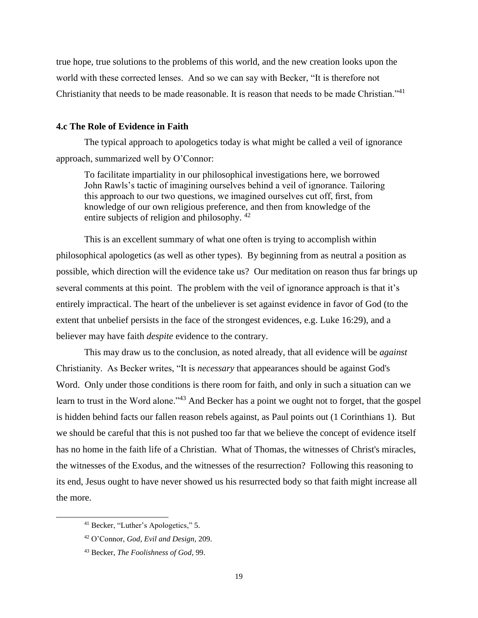true hope, true solutions to the problems of this world, and the new creation looks upon the world with these corrected lenses. And so we can say with Becker, "It is therefore not Christianity that needs to be made reasonable. It is reason that needs to be made Christian."<sup>41</sup>

## <span id="page-21-0"></span>**4.c The Role of Evidence in Faith**

The typical approach to apologetics today is what might be called a veil of ignorance approach, summarized well by O'Connor:

To facilitate impartiality in our philosophical investigations here, we borrowed John Rawls's tactic of imagining ourselves behind a veil of ignorance. Tailoring this approach to our two questions, we imagined ourselves cut off, first, from knowledge of our own religious preference, and then from knowledge of the entire subjects of religion and philosophy. <sup>42</sup>

This is an excellent summary of what one often is trying to accomplish within philosophical apologetics (as well as other types). By beginning from as neutral a position as possible, which direction will the evidence take us? Our meditation on reason thus far brings up several comments at this point. The problem with the veil of ignorance approach is that it's entirely impractical. The heart of the unbeliever is set against evidence in favor of God (to the extent that unbelief persists in the face of the strongest evidences, e.g. Luke 16:29), and a believer may have faith *despite* evidence to the contrary.

This may draw us to the conclusion, as noted already, that all evidence will be *against*  Christianity. As Becker writes, "It is *necessary* that appearances should be against God's Word. Only under those conditions is there room for faith, and only in such a situation can we learn to trust in the Word alone."<sup>43</sup> And Becker has a point we ought not to forget, that the gospel is hidden behind facts our fallen reason rebels against, as Paul points out (1 Corinthians 1). But we should be careful that this is not pushed too far that we believe the concept of evidence itself has no home in the faith life of a Christian. What of Thomas, the witnesses of Christ's miracles, the witnesses of the Exodus, and the witnesses of the resurrection? Following this reasoning to its end, Jesus ought to have never showed us his resurrected body so that faith might increase all the more.

l

<sup>41</sup> Becker, "Luther's Apologetics," 5.

<sup>42</sup> O'Connor, *God, Evil and Design,* 209.

<sup>43</sup> Becker, *The Foolishness of God*, 99.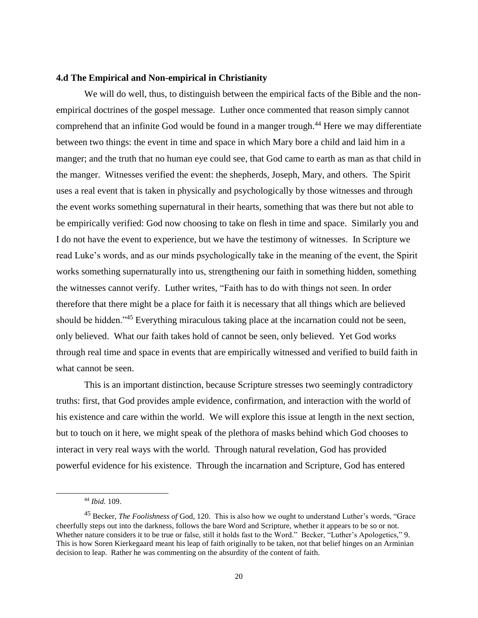## <span id="page-22-0"></span>**4.d The Empirical and Non-empirical in Christianity**

We will do well, thus, to distinguish between the empirical facts of the Bible and the nonempirical doctrines of the gospel message. Luther once commented that reason simply cannot comprehend that an infinite God would be found in a manger trough.<sup>44</sup> Here we may differentiate between two things: the event in time and space in which Mary bore a child and laid him in a manger; and the truth that no human eye could see, that God came to earth as man as that child in the manger. Witnesses verified the event: the shepherds, Joseph, Mary, and others. The Spirit uses a real event that is taken in physically and psychologically by those witnesses and through the event works something supernatural in their hearts, something that was there but not able to be empirically verified: God now choosing to take on flesh in time and space. Similarly you and I do not have the event to experience, but we have the testimony of witnesses. In Scripture we read Luke's words, and as our minds psychologically take in the meaning of the event, the Spirit works something supernaturally into us, strengthening our faith in something hidden, something the witnesses cannot verify. Luther writes, "Faith has to do with things not seen. In order therefore that there might be a place for faith it is necessary that all things which are believed should be hidden.<sup>345</sup> Everything miraculous taking place at the incarnation could not be seen, only believed. What our faith takes hold of cannot be seen, only believed. Yet God works through real time and space in events that are empirically witnessed and verified to build faith in what cannot be seen.

This is an important distinction, because Scripture stresses two seemingly contradictory truths: first, that God provides ample evidence, confirmation, and interaction with the world of his existence and care within the world. We will explore this issue at length in the next section, but to touch on it here, we might speak of the plethora of masks behind which God chooses to interact in very real ways with the world. Through natural revelation, God has provided powerful evidence for his existence. Through the incarnation and Scripture, God has entered

<sup>44</sup> *Ibid.* 109.

<sup>45</sup> Becker, *The Foolishness of* God, 120. This is also how we ought to understand Luther's words, "Grace cheerfully steps out into the darkness, follows the bare Word and Scripture, whether it appears to be so or not. Whether nature considers it to be true or false, still it holds fast to the Word." Becker, "Luther's Apologetics*,*" 9. This is how Soren Kierkegaard meant his leap of faith originally to be taken, not that belief hinges on an Arminian decision to leap. Rather he was commenting on the absurdity of the content of faith.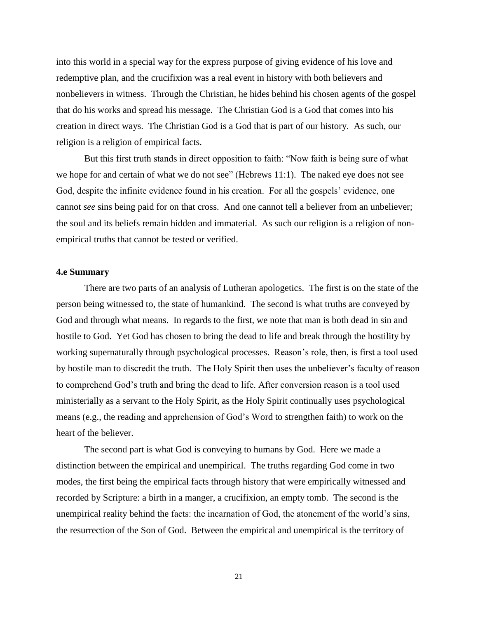into this world in a special way for the express purpose of giving evidence of his love and redemptive plan, and the crucifixion was a real event in history with both believers and nonbelievers in witness. Through the Christian, he hides behind his chosen agents of the gospel that do his works and spread his message. The Christian God is a God that comes into his creation in direct ways. The Christian God is a God that is part of our history. As such, our religion is a religion of empirical facts.

But this first truth stands in direct opposition to faith: "Now faith is being sure of what we hope for and certain of what we do not see" (Hebrews 11:1). The naked eye does not see God, despite the infinite evidence found in his creation. For all the gospels' evidence, one cannot *see* sins being paid for on that cross. And one cannot tell a believer from an unbeliever; the soul and its beliefs remain hidden and immaterial. As such our religion is a religion of nonempirical truths that cannot be tested or verified.

#### <span id="page-23-0"></span>**4.e Summary**

There are two parts of an analysis of Lutheran apologetics. The first is on the state of the person being witnessed to, the state of humankind. The second is what truths are conveyed by God and through what means. In regards to the first, we note that man is both dead in sin and hostile to God. Yet God has chosen to bring the dead to life and break through the hostility by working supernaturally through psychological processes. Reason's role, then, is first a tool used by hostile man to discredit the truth. The Holy Spirit then uses the unbeliever's faculty of reason to comprehend God's truth and bring the dead to life. After conversion reason is a tool used ministerially as a servant to the Holy Spirit, as the Holy Spirit continually uses psychological means (e.g., the reading and apprehension of God's Word to strengthen faith) to work on the heart of the believer.

The second part is what God is conveying to humans by God. Here we made a distinction between the empirical and unempirical. The truths regarding God come in two modes, the first being the empirical facts through history that were empirically witnessed and recorded by Scripture: a birth in a manger, a crucifixion, an empty tomb. The second is the unempirical reality behind the facts: the incarnation of God, the atonement of the world's sins, the resurrection of the Son of God. Between the empirical and unempirical is the territory of

21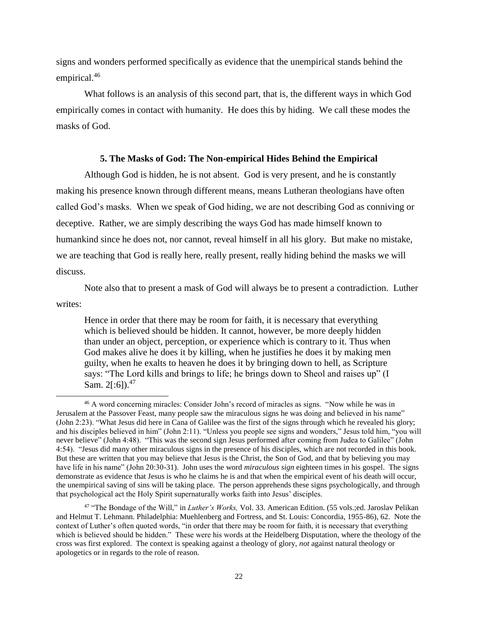signs and wonders performed specifically as evidence that the unempirical stands behind the empirical.<sup>46</sup>

What follows is an analysis of this second part, that is, the different ways in which God empirically comes in contact with humanity. He does this by hiding. We call these modes the masks of God.

#### **5. The Masks of God: The Non-empirical Hides Behind the Empirical**

<span id="page-24-0"></span>Although God is hidden, he is not absent. God is very present, and he is constantly making his presence known through different means, means Lutheran theologians have often called God's masks. When we speak of God hiding, we are not describing God as conniving or deceptive. Rather, we are simply describing the ways God has made himself known to humankind since he does not, nor cannot, reveal himself in all his glory. But make no mistake, we are teaching that God is really here, really present, really hiding behind the masks we will discuss.

Note also that to present a mask of God will always be to present a contradiction. Luther writes:

Hence in order that there may be room for faith, it is necessary that everything which is believed should be hidden. It cannot, however, be more deeply hidden than under an object, perception, or experience which is contrary to it. Thus when God makes alive he does it by killing, when he justifies he does it by making men guilty, when he exalts to heaven he does it by bringing down to hell, as Scripture says: "The Lord kills and brings to life; he brings down to Sheol and raises up" (I Sam.  $2[:6]$ .<sup>47</sup>

<sup>46</sup> A word concerning miracles: Consider John's record of miracles as signs. "Now while he was in Jerusalem at the Passover Feast, many people saw the miraculous signs he was doing and believed in his name" (John 2:23). "What Jesus did here in Cana of Galilee was the first of the signs through which he revealed his glory; and his disciples believed in him" (John 2:11). "Unless you people see signs and wonders," Jesus told him, "you will never believe" (John 4:48). "This was the second sign Jesus performed after coming from Judea to Galilee" (John 4:54). "Jesus did many other miraculous signs in the presence of his disciples, which are not recorded in this book. But these are written that you may believe that Jesus is the Christ, the Son of God, and that by believing you may have life in his name" (John 20:30-31). John uses the word *miraculous sign* eighteen times in his gospel. The signs demonstrate as evidence that Jesus is who he claims he is and that when the empirical event of his death will occur, the unempirical saving of sins will be taking place. The person apprehends these signs psychologically, and through that psychological act the Holy Spirit supernaturally works faith into Jesus' disciples.

<sup>47</sup> "The Bondage of the Will," in *Luther's Works,* Vol. 33. American Edition. (55 vols.;ed. Jaroslav Pelikan and Helmut T. Lehmann. Philadelphia: Muehlenberg and Fortress, and St. Louis: Concordia, 1955-86), 62. Note the context of Luther's often quoted words, "in order that there may be room for faith, it is necessary that everything which is believed should be hidden." These were his words at the Heidelberg Disputation, where the theology of the cross was first explored. The context is speaking against a theology of glory, *not* against natural theology or apologetics or in regards to the role of reason.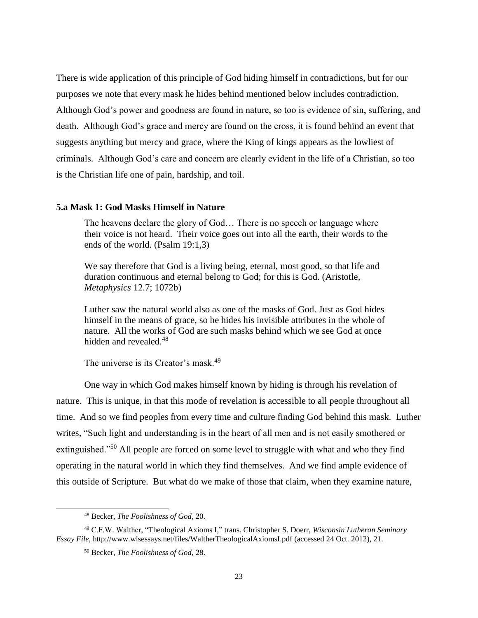There is wide application of this principle of God hiding himself in contradictions, but for our purposes we note that every mask he hides behind mentioned below includes contradiction. Although God's power and goodness are found in nature, so too is evidence of sin, suffering, and death. Although God's grace and mercy are found on the cross, it is found behind an event that suggests anything but mercy and grace, where the King of kings appears as the lowliest of criminals. Although God's care and concern are clearly evident in the life of a Christian, so too is the Christian life one of pain, hardship, and toil.

## <span id="page-25-0"></span>**5.a Mask 1: God Masks Himself in Nature**

The heavens declare the glory of God… There is no speech or language where their voice is not heard. Their voice goes out into all the earth, their words to the ends of the world. (Psalm 19:1,3)

We say therefore that God is a living being, eternal, most good, so that life and duration continuous and eternal belong to God; for this is God. (Aristotle, *Metaphysics* 12.7; 1072b)

Luther saw the natural world also as one of the masks of God. Just as God hides himself in the means of grace, so he hides his invisible attributes in the whole of nature. All the works of God are such masks behind which we see God at once hidden and revealed.<sup>48</sup>

The universe is its Creator's mask.<sup>49</sup>

One way in which God makes himself known by hiding is through his revelation of nature. This is unique, in that this mode of revelation is accessible to all people throughout all time. And so we find peoples from every time and culture finding God behind this mask. Luther writes, "Such light and understanding is in the heart of all men and is not easily smothered or extinguished."<sup>50</sup> All people are forced on some level to struggle with what and who they find operating in the natural world in which they find themselves. And we find ample evidence of this outside of Scripture. But what do we make of those that claim, when they examine nature,

<sup>48</sup> Becker, *The Foolishness of God*, 20.

<sup>49</sup> C.F.W. Walther, "Theological Axioms I*,*" trans. Christopher S. Doerr, *Wisconsin Lutheran Seminary Essay File*, http://www.wlsessays.net/files/WaltherTheologicalAxiomsI.pdf (accessed 24 Oct. 2012), 21.

<sup>50</sup> Becker, *The Foolishness of God*, 28.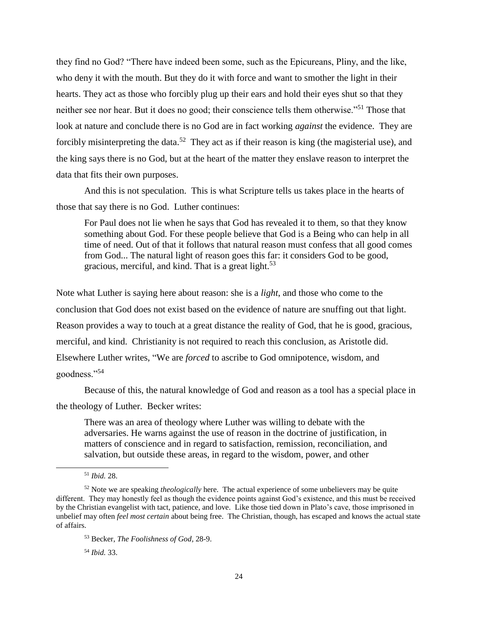they find no God? "There have indeed been some, such as the Epicureans, Pliny, and the like, who deny it with the mouth. But they do it with force and want to smother the light in their hearts. They act as those who forcibly plug up their ears and hold their eyes shut so that they neither see nor hear. But it does no good; their conscience tells them otherwise."<sup>51</sup> Those that look at nature and conclude there is no God are in fact working *against* the evidence. They are forcibly misinterpreting the data.<sup>52</sup> They act as if their reason is king (the magisterial use), and the king says there is no God, but at the heart of the matter they enslave reason to interpret the data that fits their own purposes.

And this is not speculation. This is what Scripture tells us takes place in the hearts of those that say there is no God. Luther continues:

For Paul does not lie when he says that God has revealed it to them, so that they know something about God. For these people believe that God is a Being who can help in all time of need. Out of that it follows that natural reason must confess that all good comes from God... The natural light of reason goes this far: it considers God to be good, gracious, merciful, and kind. That is a great light.<sup>53</sup>

Note what Luther is saying here about reason: she is a *light*, and those who come to the conclusion that God does not exist based on the evidence of nature are snuffing out that light. Reason provides a way to touch at a great distance the reality of God, that he is good, gracious, merciful, and kind. Christianity is not required to reach this conclusion, as Aristotle did. Elsewhere Luther writes, "We are *forced* to ascribe to God omnipotence, wisdom, and goodness."<sup>54</sup>

Because of this, the natural knowledge of God and reason as a tool has a special place in the theology of Luther. Becker writes:

There was an area of theology where Luther was willing to debate with the adversaries. He warns against the use of reason in the doctrine of justification, in matters of conscience and in regard to satisfaction, remission, reconciliation, and salvation, but outside these areas, in regard to the wisdom, power, and other

 $\overline{a}$ 

<sup>54</sup> *Ibid.* 33.

<sup>51</sup> *Ibid.* 28.

<sup>52</sup> Note we are speaking *theologically* here. The actual experience of some unbelievers may be quite different. They may honestly feel as though the evidence points against God's existence, and this must be received by the Christian evangelist with tact, patience, and love. Like those tied down in Plato's cave, those imprisoned in unbelief may often *feel most certain* about being free. The Christian, though, has escaped and knows the actual state of affairs.

<sup>53</sup> Becker, *The Foolishness of God,* 28-9.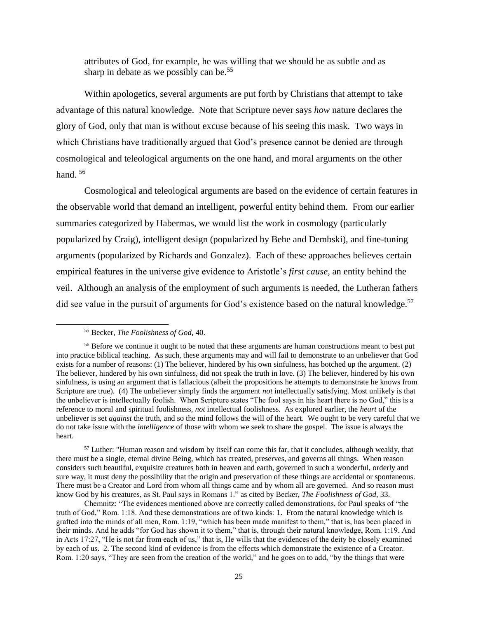attributes of God, for example, he was willing that we should be as subtle and as sharp in debate as we possibly can be.<sup>55</sup>

Within apologetics, several arguments are put forth by Christians that attempt to take advantage of this natural knowledge. Note that Scripture never says *how* nature declares the glory of God, only that man is without excuse because of his seeing this mask. Two ways in which Christians have traditionally argued that God's presence cannot be denied are through cosmological and teleological arguments on the one hand, and moral arguments on the other hand.<sup>56</sup>

Cosmological and teleological arguments are based on the evidence of certain features in the observable world that demand an intelligent, powerful entity behind them. From our earlier summaries categorized by Habermas, we would list the work in cosmology (particularly popularized by Craig), intelligent design (popularized by Behe and Dembski), and fine-tuning arguments (popularized by Richards and Gonzalez). Each of these approaches believes certain empirical features in the universe give evidence to Aristotle's *first cause*, an entity behind the veil. Although an analysis of the employment of such arguments is needed, the Lutheran fathers did see value in the pursuit of arguments for God's existence based on the natural knowledge.<sup>57</sup>

<sup>55</sup> Becker, *The Foolishness of God,* 40.

<sup>&</sup>lt;sup>56</sup> Before we continue it ought to be noted that these arguments are human constructions meant to best put into practice biblical teaching. As such, these arguments may and will fail to demonstrate to an unbeliever that God exists for a number of reasons: (1) The believer, hindered by his own sinfulness, has botched up the argument. (2) The believer, hindered by his own sinfulness, did not speak the truth in love. (3) The believer, hindered by his own sinfulness, is using an argument that is fallacious (albeit the propositions he attempts to demonstrate he knows from Scripture are true). (4) The unbeliever simply finds the argument *not* intellectually satisfying. Most unlikely is that the unbeliever is intellectually foolish. When Scripture states "The fool says in his heart there is no God," this is a reference to moral and spiritual foolishness, *not* intellectual foolishness. As explored earlier, the *heart* of the unbeliever is set *against* the truth, and so the mind follows the will of the heart. We ought to be very careful that we do not take issue with the *intelligence* of those with whom we seek to share the gospel. The issue is always the heart.

<sup>&</sup>lt;sup>57</sup> Luther: "Human reason and wisdom by itself can come this far, that it concludes, although weakly, that there must be a single, eternal divine Being, which has created, preserves, and governs all things. When reason considers such beautiful, exquisite creatures both in heaven and earth, governed in such a wonderful, orderly and sure way, it must deny the possibility that the origin and preservation of these things are accidental or spontaneous. There must be a Creator and Lord from whom all things came and by whom all are governed. And so reason must know God by his creatures, as St. Paul says in Romans 1." as cited by Becker, *The Foolishness of God,* 33.

Chemnitz: "The evidences mentioned above are correctly called demonstrations, for Paul speaks of "the truth of God," Rom. 1:18. And these demonstrations are of two kinds: 1. From the natural knowledge which is grafted into the minds of all men, Rom. 1:19, "which has been made manifest to them," that is, has been placed in their minds. And he adds "for God has shown it to them," that is, through their natural knowledge, Rom. 1:19. And in Acts 17:27, "He is not far from each of us," that is, He wills that the evidences of the deity be closely examined by each of us. 2. The second kind of evidence is from the effects which demonstrate the existence of a Creator. Rom. 1:20 says, "They are seen from the creation of the world," and he goes on to add, "by the things that were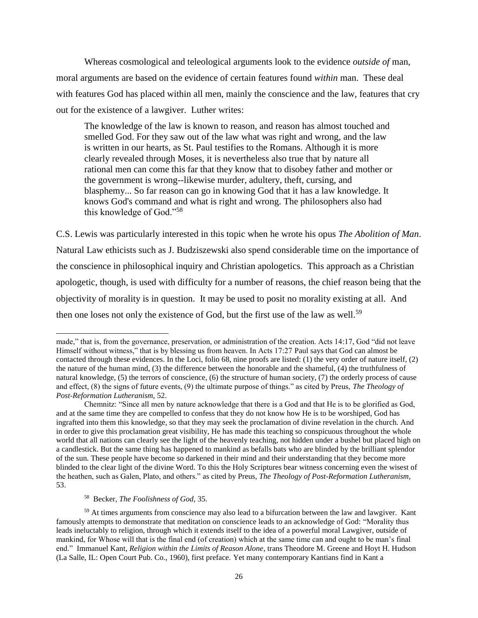Whereas cosmological and teleological arguments look to the evidence *outside of* man, moral arguments are based on the evidence of certain features found *within* man. These deal with features God has placed within all men, mainly the conscience and the law, features that cry out for the existence of a lawgiver. Luther writes:

The knowledge of the law is known to reason, and reason has almost touched and smelled God. For they saw out of the law what was right and wrong, and the law is written in our hearts, as St. Paul testifies to the Romans. Although it is more clearly revealed through Moses, it is nevertheless also true that by nature all rational men can come this far that they know that to disobey father and mother or the government is wrong--likewise murder, adultery, theft, cursing, and blasphemy... So far reason can go in knowing God that it has a law knowledge. It knows God's command and what is right and wrong. The philosophers also had this knowledge of God."<sup>58</sup>

C.S. Lewis was particularly interested in this topic when he wrote his opus *The Abolition of Man*. Natural Law ethicists such as J. Budziszewski also spend considerable time on the importance of the conscience in philosophical inquiry and Christian apologetics. This approach as a Christian apologetic, though, is used with difficulty for a number of reasons, the chief reason being that the objectivity of morality is in question. It may be used to posit no morality existing at all. And then one loses not only the existence of God, but the first use of the law as well.<sup>59</sup>

 $\overline{a}$ made," that is, from the governance, preservation, or administration of the creation. Acts 14:17, God "did not leave Himself without witness," that is by blessing us from heaven. In Acts 17:27 Paul says that God can almost be contacted through these evidences. In the Loci, folio 68, nine proofs are listed: (1) the very order of nature itself, (2) the nature of the human mind, (3) the difference between the honorable and the shameful, (4) the truthfulness of natural knowledge, (5) the terrors of conscience, (6) the structure of human society, (7) the orderly process of cause and effect, (8) the signs of future events, (9) the ultimate purpose of things." as cited by Preus, *The Theology of Post-Reformation Lutheranism*, 52.

Chemnitz: "Since all men by nature acknowledge that there is a God and that He is to be glorified as God, and at the same time they are compelled to confess that they do not know how He is to be worshiped, God has ingrafted into them this knowledge, so that they may seek the proclamation of divine revelation in the church. And in order to give this proclamation great visibility, He has made this teaching so conspicuous throughout the whole world that all nations can clearly see the light of the heavenly teaching, not hidden under a bushel but placed high on a candlestick. But the same thing has happened to mankind as befalls bats who are blinded by the brilliant splendor of the sun. These people have become so darkened in their mind and their understanding that they become more blinded to the clear light of the divine Word. To this the Holy Scriptures bear witness concerning even the wisest of the heathen, such as Galen, Plato, and others." as cited by Preus, *The Theology of Post-Reformation Lutheranism*, 53.

<sup>58</sup> Becker, *The Foolishness of God,* 35.

<sup>59</sup> At times arguments from conscience may also lead to a bifurcation between the law and lawgiver. Kant famously attempts to demonstrate that meditation on conscience leads to an acknowledge of God: "Morality thus leads ineluctably to religion, through which it extends itself to the idea of a powerful moral Lawgiver, outside of mankind, for Whose will that is the final end (of creation) which at the same time can and ought to be man's final end." Immanuel Kant, *Religion within the Limits of Reason Alone*, trans Theodore M. Greene and Hoyt H. Hudson (La Salle, IL: Open Court Pub. Co., 1960), first preface. Yet many contemporary Kantians find in Kant a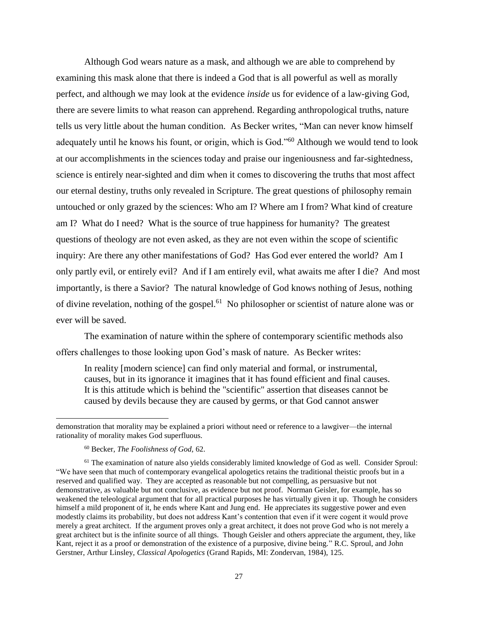Although God wears nature as a mask, and although we are able to comprehend by examining this mask alone that there is indeed a God that is all powerful as well as morally perfect, and although we may look at the evidence *inside* us for evidence of a law-giving God, there are severe limits to what reason can apprehend. Regarding anthropological truths, nature tells us very little about the human condition. As Becker writes, "Man can never know himself adequately until he knows his fount, or origin, which is God."<sup>60</sup> Although we would tend to look at our accomplishments in the sciences today and praise our ingeniousness and far-sightedness, science is entirely near-sighted and dim when it comes to discovering the truths that most affect our eternal destiny, truths only revealed in Scripture. The great questions of philosophy remain untouched or only grazed by the sciences: Who am I? Where am I from? What kind of creature am I? What do I need? What is the source of true happiness for humanity? The greatest questions of theology are not even asked, as they are not even within the scope of scientific inquiry: Are there any other manifestations of God? Has God ever entered the world? Am I only partly evil, or entirely evil? And if I am entirely evil, what awaits me after I die? And most importantly, is there a Savior? The natural knowledge of God knows nothing of Jesus, nothing of divine revelation, nothing of the gospel.<sup>61</sup> No philosopher or scientist of nature alone was or ever will be saved.

The examination of nature within the sphere of contemporary scientific methods also offers challenges to those looking upon God's mask of nature. As Becker writes:

In reality [modern science] can find only material and formal, or instrumental, causes, but in its ignorance it imagines that it has found efficient and final causes. It is this attitude which is behind the "scientific" assertion that diseases cannot be caused by devils because they are caused by germs, or that God cannot answer

demonstration that morality may be explained a priori without need or reference to a lawgiver—the internal rationality of morality makes God superfluous.

<sup>60</sup> Becker, *The Foolishness of God,* 62.

<sup>61</sup> The examination of nature also yields considerably limited knowledge of God as well. Consider Sproul: "We have seen that much of contemporary evangelical apologetics retains the traditional theistic proofs but in a reserved and qualified way. They are accepted as reasonable but not compelling, as persuasive but not demonstrative, as valuable but not conclusive, as evidence but not proof. Norman Geisler, for example, has so weakened the teleological argument that for all practical purposes he has virtually given it up. Though he considers himself a mild proponent of it, he ends where Kant and Jung end. He appreciates its suggestive power and even modestly claims its probability, but does not address Kant's contention that even if it were cogent it would prove merely a great architect. If the argument proves only a great architect, it does not prove God who is not merely a great architect but is the infinite source of all things. Though Geisler and others appreciate the argument, they, like Kant, reject it as a proof or demonstration of the existence of a purposive, divine being." R.C. Sproul, and John Gerstner, Arthur Linsley, *Classical Apologetics* (Grand Rapids, MI: Zondervan, 1984), 125.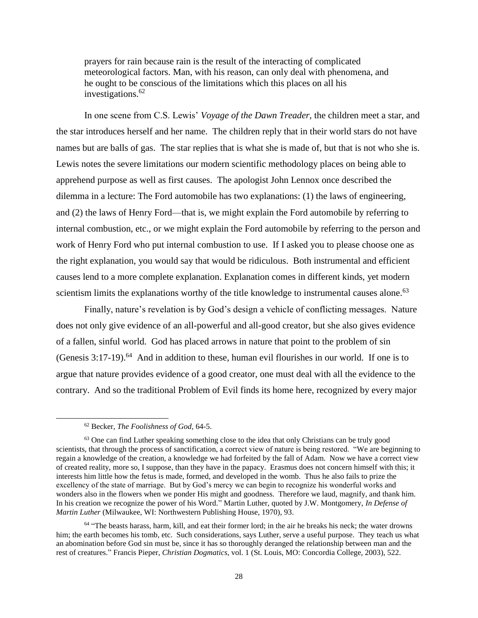prayers for rain because rain is the result of the interacting of complicated meteorological factors. Man, with his reason, can only deal with phenomena, and he ought to be conscious of the limitations which this places on all his investigations. $62$ 

In one scene from C.S. Lewis' *Voyage of the Dawn Treader,* the children meet a star, and the star introduces herself and her name. The children reply that in their world stars do not have names but are balls of gas. The star replies that is what she is made of, but that is not who she is. Lewis notes the severe limitations our modern scientific methodology places on being able to apprehend purpose as well as first causes. The apologist John Lennox once described the dilemma in a lecture: The Ford automobile has two explanations: (1) the laws of engineering, and (2) the laws of Henry Ford—that is, we might explain the Ford automobile by referring to internal combustion, etc., or we might explain the Ford automobile by referring to the person and work of Henry Ford who put internal combustion to use. If I asked you to please choose one as the right explanation, you would say that would be ridiculous. Both instrumental and efficient causes lend to a more complete explanation. Explanation comes in different kinds, yet modern scientism limits the explanations worthy of the title knowledge to instrumental causes alone.<sup>63</sup>

Finally, nature's revelation is by God's design a vehicle of conflicting messages. Nature does not only give evidence of an all-powerful and all-good creator, but she also gives evidence of a fallen, sinful world. God has placed arrows in nature that point to the problem of sin (Genesis 3:17-19). 64 And in addition to these, human evil flourishes in our world. If one is to argue that nature provides evidence of a good creator, one must deal with all the evidence to the contrary. And so the traditional Problem of Evil finds its home here, recognized by every major

<sup>62</sup> Becker, *The Foolishness of God,* 64-5.

<sup>&</sup>lt;sup>63</sup> One can find Luther speaking something close to the idea that only Christians can be truly good scientists, that through the process of sanctification, a correct view of nature is being restored. "We are beginning to regain a knowledge of the creation, a knowledge we had forfeited by the fall of Adam. Now we have a correct view of created reality, more so, I suppose, than they have in the papacy. Erasmus does not concern himself with this; it interests him little how the fetus is made, formed, and developed in the womb. Thus he also fails to prize the excellency of the state of marriage. But by God's mercy we can begin to recognize his wonderful works and wonders also in the flowers when we ponder His might and goodness. Therefore we laud, magnify, and thank him. In his creation we recognize the power of his Word." Martin Luther, quoted by J.W. Montgomery, *In Defense of Martin Luther* (Milwaukee, WI: Northwestern Publishing House, 1970), 93.

<sup>64</sup> "The beasts harass, harm, kill, and eat their former lord; in the air he breaks his neck; the water drowns him; the earth becomes his tomb, etc. Such considerations, says Luther, serve a useful purpose. They teach us what an abomination before God sin must be, since it has so thoroughly deranged the relationship between man and the rest of creatures." Francis Pieper, *Christian Dogmatics,* vol. 1 (St. Louis, MO: Concordia College, 2003), 522.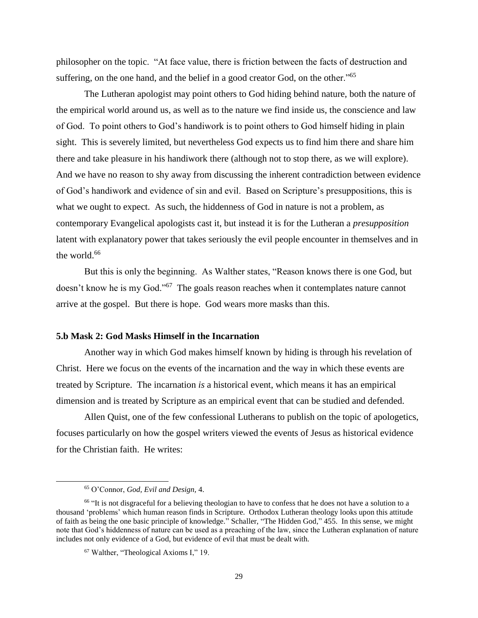philosopher on the topic. "At face value, there is friction between the facts of destruction and suffering, on the one hand, and the belief in a good creator God, on the other.<sup>765</sup>

The Lutheran apologist may point others to God hiding behind nature, both the nature of the empirical world around us, as well as to the nature we find inside us, the conscience and law of God. To point others to God's handiwork is to point others to God himself hiding in plain sight. This is severely limited, but nevertheless God expects us to find him there and share him there and take pleasure in his handiwork there (although not to stop there, as we will explore). And we have no reason to shy away from discussing the inherent contradiction between evidence of God's handiwork and evidence of sin and evil. Based on Scripture's presuppositions, this is what we ought to expect. As such, the hiddenness of God in nature is not a problem, as contemporary Evangelical apologists cast it, but instead it is for the Lutheran a *presupposition* latent with explanatory power that takes seriously the evil people encounter in themselves and in the world. $66$ 

But this is only the beginning. As Walther states, "Reason knows there is one God, but doesn't know he is my God."<sup>67</sup> The goals reason reaches when it contemplates nature cannot arrive at the gospel. But there is hope. God wears more masks than this.

## <span id="page-31-0"></span>**5.b Mask 2: God Masks Himself in the Incarnation**

Another way in which God makes himself known by hiding is through his revelation of Christ. Here we focus on the events of the incarnation and the way in which these events are treated by Scripture. The incarnation *is* a historical event, which means it has an empirical dimension and is treated by Scripture as an empirical event that can be studied and defended.

Allen Quist, one of the few confessional Lutherans to publish on the topic of apologetics, focuses particularly on how the gospel writers viewed the events of Jesus as historical evidence for the Christian faith. He writes:

<sup>65</sup> O'Connor, *God, Evil and Design,* 4.

<sup>&</sup>lt;sup>66</sup> "It is not disgraceful for a believing theologian to have to confess that he does not have a solution to a thousand 'problems' which human reason finds in Scripture. Orthodox Lutheran theology looks upon this attitude of faith as being the one basic principle of knowledge." Schaller, "The Hidden God*,*" 455. In this sense, we might note that God's hiddenness of nature can be used as a preaching of the law, since the Lutheran explanation of nature includes not only evidence of a God, but evidence of evil that must be dealt with.

<sup>67</sup> Walther, "Theological Axioms I," 19.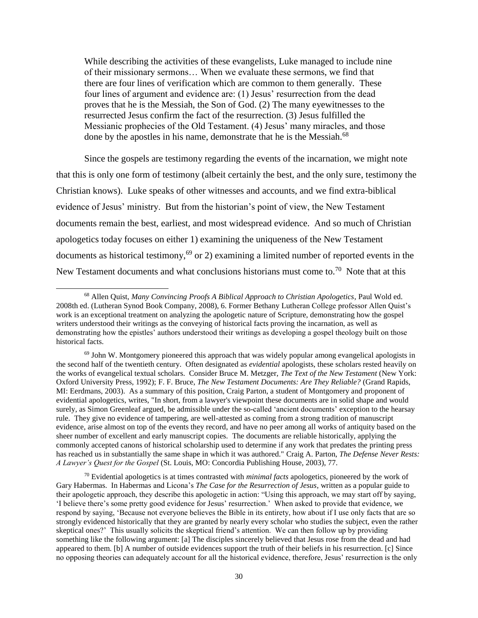While describing the activities of these evangelists, Luke managed to include nine of their missionary sermons… When we evaluate these sermons, we find that there are four lines of verification which are common to them generally. These four lines of argument and evidence are: (1) Jesus' resurrection from the dead proves that he is the Messiah, the Son of God. (2) The many eyewitnesses to the resurrected Jesus confirm the fact of the resurrection. (3) Jesus fulfilled the Messianic prophecies of the Old Testament. (4) Jesus' many miracles, and those done by the apostles in his name, demonstrate that he is the Messiah.<sup>68</sup>

Since the gospels are testimony regarding the events of the incarnation, we might note that this is only one form of testimony (albeit certainly the best, and the only sure, testimony the Christian knows). Luke speaks of other witnesses and accounts, and we find extra-biblical evidence of Jesus' ministry. But from the historian's point of view, the New Testament documents remain the best, earliest, and most widespread evidence. And so much of Christian apologetics today focuses on either 1) examining the uniqueness of the New Testament documents as historical testimony,<sup>69</sup> or 2) examining a limited number of reported events in the New Testament documents and what conclusions historians must come to.<sup>70</sup> Note that at this

<sup>68</sup> Allen Quist, *Many Convincing Proofs A Biblical Approach to Christian Apologetics*, Paul Wold ed. 2008th ed. (Lutheran Synod Book Company, 2008), 6. Former Bethany Lutheran College professor Allen Quist's work is an exceptional treatment on analyzing the apologetic nature of Scripture, demonstrating how the gospel writers understood their writings as the conveying of historical facts proving the incarnation, as well as demonstrating how the epistles' authors understood their writings as developing a gospel theology built on those historical facts.

 $69$  John W. Montgomery pioneered this approach that was widely popular among evangelical apologists in the second half of the twentieth century. Often designated as *evidential* apologists, these scholars rested heavily on the works of evangelical textual scholars. Consider Bruce M. Metzger, *The Text of the New Testament* (New York: Oxford University Press, 1992); F. F. Bruce, *The New Testament Documents: Are They Reliable?* (Grand Rapids, MI: Eerdmans, 2003). As a summary of this position, Craig Parton, a student of Montgomery and proponent of evidential apologetics, writes, "In short, from a lawyer's viewpoint these documents are in solid shape and would surely, as Simon Greenleaf argued, be admissible under the so-called 'ancient documents' exception to the hearsay rule. They give no evidence of tampering, are well-attested as coming from a strong tradition of manuscript evidence, arise almost on top of the events they record, and have no peer among all works of antiquity based on the sheer number of excellent and early manuscript copies. The documents are reliable historically, applying the commonly accepted canons of historical scholarship used to determine if any work that predates the printing press has reached us in substantially the same shape in which it was authored." Craig A. Parton, *The Defense Never Rests: A Lawyer's Quest for the Gospel* (St. Louis, MO: Concordia Publishing House, 2003), 77.

<sup>70</sup> Evidential apologetics is at times contrasted with *minimal facts* apologetics, pioneered by the work of Gary Habermas. In Habermas and Licona's *The Case for the Resurrection of Jesus*, written as a popular guide to their apologetic approach, they describe this apologetic in action: "Using this approach, we may start off by saying, 'I believe there's some pretty good evidence for Jesus' resurrection.' When asked to provide that evidence, we respond by saying, 'Because not everyone believes the Bible in its entirety, how about if I use only facts that are so strongly evidenced historically that they are granted by nearly every scholar who studies the subject, even the rather skeptical ones?' This usually solicits the skeptical friend's attention. We can then follow up by providing something like the following argument: [a] The disciples sincerely believed that Jesus rose from the dead and had appeared to them. [b] A number of outside evidences support the truth of their beliefs in his resurrection. [c] Since no opposing theories can adequately account for all the historical evidence, therefore, Jesus' resurrection is the only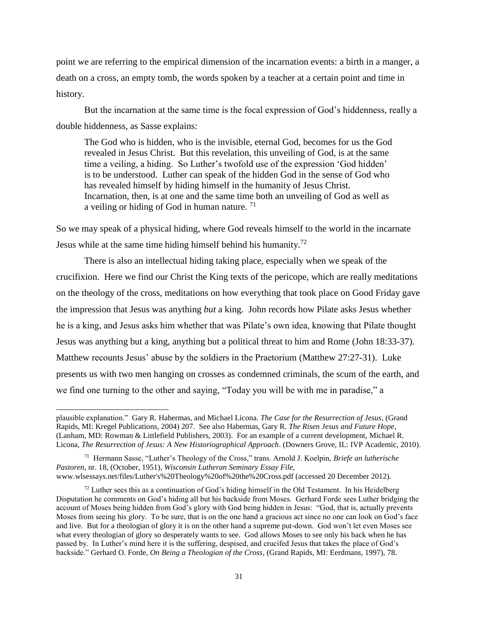point we are referring to the empirical dimension of the incarnation events: a birth in a manger, a death on a cross, an empty tomb, the words spoken by a teacher at a certain point and time in history.

But the incarnation at the same time is the focal expression of God's hiddenness, really a double hiddenness, as Sasse explains:

The God who is hidden, who is the invisible, eternal God, becomes for us the God revealed in Jesus Christ. But this revelation, this unveiling of God, is at the same time a veiling, a hiding. So Luther's twofold use of the expression 'God hidden' is to be understood. Luther can speak of the hidden God in the sense of God who has revealed himself by hiding himself in the humanity of Jesus Christ. Incarnation, then, is at one and the same time both an unveiling of God as well as a veiling or hiding of God in human nature.<sup>71</sup>

So we may speak of a physical hiding, where God reveals himself to the world in the incarnate Jesus while at the same time hiding himself behind his humanity.<sup>72</sup>

There is also an intellectual hiding taking place, especially when we speak of the crucifixion. Here we find our Christ the King texts of the pericope, which are really meditations on the theology of the cross, meditations on how everything that took place on Good Friday gave the impression that Jesus was anything *but* a king. John records how Pilate asks Jesus whether he is a king, and Jesus asks him whether that was Pilate's own idea, knowing that Pilate thought Jesus was anything but a king, anything but a political threat to him and Rome (John 18:33-37). Matthew recounts Jesus' abuse by the soldiers in the Praetorium (Matthew 27:27-31). Luke presents us with two men hanging on crosses as condemned criminals, the scum of the earth, and we find one turning to the other and saying, "Today you will be with me in paradise," a

l

plausible explanation." Gary R. Habermas, and Michael Licona. *The Case for the Resurrection of Jesus*, (Grand Rapids, MI: Kregel Publications, 2004) 207. See also Habermas, Gary R. *The Risen Jesus and Future Hope*, (Lanham, MD: Rowman & Littlefield Publishers, 2003). For an example of a current development, Michael R. Licona, *The Resurrection of Jesus: A New Historiographical Approach*. (Downers Grove, IL: IVP Academic, 2010).

<sup>71</sup> Hermann Sasse, "Luther's Theology of the Cross," trans. Arnold J. Koelpin, *Briefe an lutherische Pastoren*, nr. 18, (October, 1951), *Wisconsin Lutheran Seminary Essay File,*  www.wlsessays.net/files/Luther's%20Theology%20of%20the%20Cross.pdf (accessed 20 December 2012).

 $72$  Luther sees this as a continuation of God's hiding himself in the Old Testament. In his Heidelberg Disputation he comments on God's hiding all but his backside from Moses. Gerhard Forde sees Luther bridging the account of Moses being hidden from God's glory with God being hidden in Jesus: "God, that is, actually prevents Moses from seeing his glory. To be sure, that is on the one hand a gracious act since no one can look on God's face and live. But for a theologian of glory it is on the other hand a supreme put-down. God won't let even Moses see what every theologian of glory so desperately wants to see. God allows Moses to see only his back when he has passed by. In Luther's mind here it is the suffering, despised, and crucifed Jesus that takes the place of God's backside." Gerhard O. Forde, *On Being a Theologian of the Cross*, (Grand Rapids, MI: Eerdmans, 1997), 78.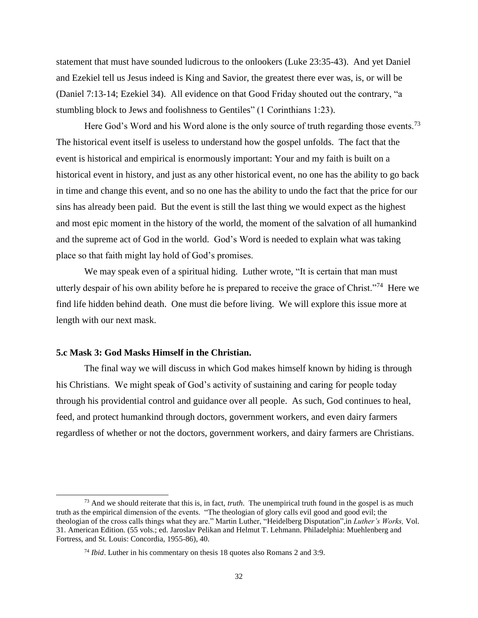statement that must have sounded ludicrous to the onlookers (Luke 23:35-43). And yet Daniel and Ezekiel tell us Jesus indeed is King and Savior, the greatest there ever was, is, or will be (Daniel 7:13-14; Ezekiel 34). All evidence on that Good Friday shouted out the contrary, "a stumbling block to Jews and foolishness to Gentiles" (1 Corinthians 1:23).

Here God's Word and his Word alone is the only source of truth regarding those events.<sup>73</sup> The historical event itself is useless to understand how the gospel unfolds. The fact that the event is historical and empirical is enormously important: Your and my faith is built on a historical event in history, and just as any other historical event, no one has the ability to go back in time and change this event, and so no one has the ability to undo the fact that the price for our sins has already been paid. But the event is still the last thing we would expect as the highest and most epic moment in the history of the world, the moment of the salvation of all humankind and the supreme act of God in the world. God's Word is needed to explain what was taking place so that faith might lay hold of God's promises.

We may speak even of a spiritual hiding. Luther wrote, "It is certain that man must" utterly despair of his own ability before he is prepared to receive the grace of Christ."<sup>74</sup> Here we find life hidden behind death. One must die before living. We will explore this issue more at length with our next mask.

## <span id="page-34-0"></span>**5.c Mask 3: God Masks Himself in the Christian.**

 $\overline{a}$ 

The final way we will discuss in which God makes himself known by hiding is through his Christians. We might speak of God's activity of sustaining and caring for people today through his providential control and guidance over all people. As such, God continues to heal, feed, and protect humankind through doctors, government workers, and even dairy farmers regardless of whether or not the doctors, government workers, and dairy farmers are Christians.

<sup>73</sup> And we should reiterate that this is, in fact, *truth*. The unempirical truth found in the gospel is as much truth as the empirical dimension of the events. "The theologian of glory calls evil good and good evil; the theologian of the cross calls things what they are." Martin Luther, "Heidelberg Disputation",in *Luther's Works,* Vol. 31. American Edition. (55 vols.; ed. Jaroslav Pelikan and Helmut T. Lehmann. Philadelphia: Muehlenberg and Fortress, and St. Louis: Concordia, 1955-86), 40.

<sup>74</sup> *Ibid*. Luther in his commentary on thesis 18 quotes also Romans 2 and 3:9.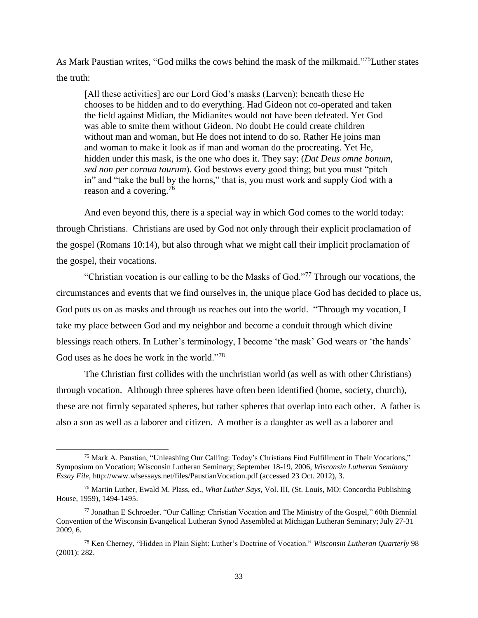As Mark Paustian writes, "God milks the cows behind the mask of the milkmaid." <sup>75</sup>Luther states the truth:

[All these activities] are our Lord God's masks (Larven); beneath these He chooses to be hidden and to do everything. Had Gideon not co-operated and taken the field against Midian, the Midianites would not have been defeated. Yet God was able to smite them without Gideon. No doubt He could create children without man and woman, but He does not intend to do so. Rather He joins man and woman to make it look as if man and woman do the procreating. Yet He, hidden under this mask, is the one who does it. They say: (*Dat Deus omne bonum, sed non per cornua taurum*). God bestows every good thing; but you must "pitch in" and "take the bull by the horns," that is, you must work and supply God with a reason and a covering.<sup>76</sup>

And even beyond this, there is a special way in which God comes to the world today: through Christians. Christians are used by God not only through their explicit proclamation of the gospel (Romans 10:14), but also through what we might call their implicit proclamation of the gospel, their vocations.

"Christian vocation is our calling to be the Masks of God."<sup>77</sup> Through our vocations, the circumstances and events that we find ourselves in, the unique place God has decided to place us, God puts us on as masks and through us reaches out into the world. "Through my vocation, I take my place between God and my neighbor and become a conduit through which divine blessings reach others. In Luther's terminology, I become 'the mask' God wears or 'the hands' God uses as he does he work in the world."<sup>78</sup>

The Christian first collides with the unchristian world (as well as with other Christians) through vocation. Although three spheres have often been identified (home, society, church), these are not firmly separated spheres, but rather spheres that overlap into each other. A father is also a son as well as a laborer and citizen. A mother is a daughter as well as a laborer and

 $\overline{\phantom{a}}$ 

<sup>75</sup> Mark A. Paustian, "Unleashing Our Calling: Today's Christians Find Fulfillment in Their Vocations," Symposium on Vocation; Wisconsin Lutheran Seminary; September 18-19, 2006, *Wisconsin Lutheran Seminary Essay File,* http://www.wlsessays.net/files/PaustianVocation.pdf (accessed 23 Oct. 2012), 3.

<sup>76</sup> Martin Luther, Ewald M. Plass, ed., *What Luther Says*, Vol. III, (St. Louis, MO: Concordia Publishing House, 1959), 1494-1495.

<sup>77</sup> Jonathan E Schroeder. "Our Calling: Christian Vocation and The Ministry of the Gospel," 60th Biennial Convention of the Wisconsin Evangelical Lutheran Synod Assembled at Michigan Lutheran Seminary; July 27-31 2009, 6.

<sup>78</sup> Ken Cherney, "Hidden in Plain Sight: Luther's Doctrine of Vocation." *Wisconsin Lutheran Quarterly* 98 (2001): 282.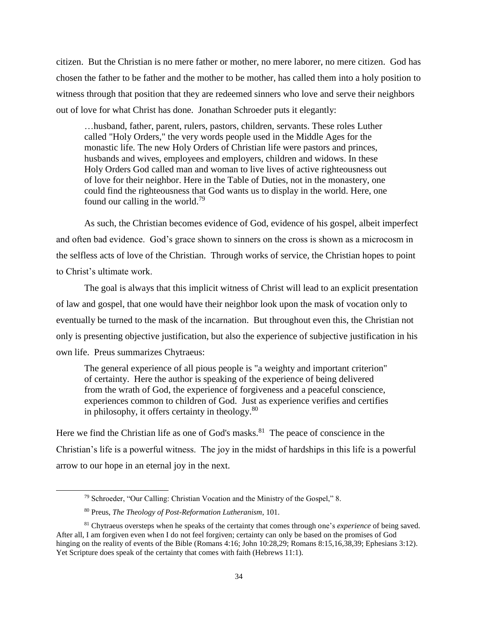citizen. But the Christian is no mere father or mother, no mere laborer, no mere citizen. God has chosen the father to be father and the mother to be mother, has called them into a holy position to witness through that position that they are redeemed sinners who love and serve their neighbors out of love for what Christ has done. Jonathan Schroeder puts it elegantly:

…husband, father, parent, rulers, pastors, children, servants. These roles Luther called "Holy Orders," the very words people used in the Middle Ages for the monastic life. The new Holy Orders of Christian life were pastors and princes, husbands and wives, employees and employers, children and widows. In these Holy Orders God called man and woman to live lives of active righteousness out of love for their neighbor. Here in the Table of Duties, not in the monastery, one could find the righteousness that God wants us to display in the world. Here, one found our calling in the world.<sup>79</sup>

As such, the Christian becomes evidence of God, evidence of his gospel, albeit imperfect and often bad evidence. God's grace shown to sinners on the cross is shown as a microcosm in the selfless acts of love of the Christian. Through works of service, the Christian hopes to point to Christ's ultimate work.

The goal is always that this implicit witness of Christ will lead to an explicit presentation of law and gospel, that one would have their neighbor look upon the mask of vocation only to eventually be turned to the mask of the incarnation. But throughout even this, the Christian not only is presenting objective justification, but also the experience of subjective justification in his own life. Preus summarizes Chytraeus:

The general experience of all pious people is "a weighty and important criterion" of certainty. Here the author is speaking of the experience of being delivered from the wrath of God, the experience of forgiveness and a peaceful conscience, experiences common to children of God. Just as experience verifies and certifies in philosophy, it offers certainty in theology.<sup>80</sup>

Here we find the Christian life as one of God's masks.<sup>81</sup> The peace of conscience in the Christian's life is a powerful witness. The joy in the midst of hardships in this life is a powerful arrow to our hope in an eternal joy in the next.

<sup>79</sup> Schroeder, "Our Calling: Christian Vocation and the Ministry of the Gospel," 8.

<sup>80</sup> Preus, *The Theology of Post-Reformation Lutheranism*, 101.

<sup>81</sup> Chytraeus oversteps when he speaks of the certainty that comes through one's *experience* of being saved. After all, I am forgiven even when I do not feel forgiven; certainty can only be based on the promises of God hinging on the reality of events of the Bible (Romans 4:16; John 10:28,29; Romans 8:15,16,38,39; Ephesians 3:12). Yet Scripture does speak of the certainty that comes with faith (Hebrews 11:1).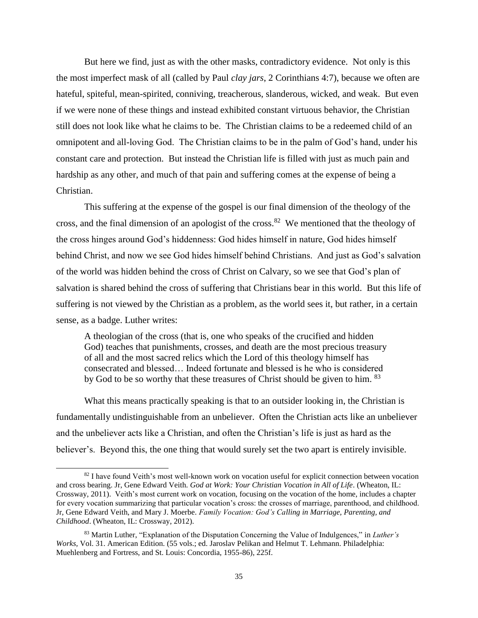But here we find, just as with the other masks, contradictory evidence. Not only is this the most imperfect mask of all (called by Paul *clay jars*, 2 Corinthians 4:7), because we often are hateful, spiteful, mean-spirited, conniving, treacherous, slanderous, wicked, and weak. But even if we were none of these things and instead exhibited constant virtuous behavior, the Christian still does not look like what he claims to be. The Christian claims to be a redeemed child of an omnipotent and all-loving God. The Christian claims to be in the palm of God's hand, under his constant care and protection. But instead the Christian life is filled with just as much pain and hardship as any other, and much of that pain and suffering comes at the expense of being a Christian.

This suffering at the expense of the gospel is our final dimension of the theology of the cross, and the final dimension of an apologist of the cross.<sup>82</sup> We mentioned that the theology of the cross hinges around God's hiddenness: God hides himself in nature, God hides himself behind Christ, and now we see God hides himself behind Christians. And just as God's salvation of the world was hidden behind the cross of Christ on Calvary, so we see that God's plan of salvation is shared behind the cross of suffering that Christians bear in this world. But this life of suffering is not viewed by the Christian as a problem, as the world sees it, but rather, in a certain sense, as a badge. Luther writes:

A theologian of the cross (that is, one who speaks of the crucified and hidden God) teaches that punishments, crosses, and death are the most precious treasury of all and the most sacred relics which the Lord of this theology himself has consecrated and blessed… Indeed fortunate and blessed is he who is considered by God to be so worthy that these treasures of Christ should be given to him. <sup>83</sup>

What this means practically speaking is that to an outsider looking in, the Christian is fundamentally undistinguishable from an unbeliever. Often the Christian acts like an unbeliever and the unbeliever acts like a Christian, and often the Christian's life is just as hard as the believer's. Beyond this, the one thing that would surely set the two apart is entirely invisible.

l

<sup>&</sup>lt;sup>82</sup> I have found Veith's most well-known work on vocation useful for explicit connection between vocation and cross bearing. Jr, Gene Edward Veith. *God at Work: Your Christian Vocation in All of Life*. (Wheaton, IL: Crossway, 2011). Veith's most current work on vocation, focusing on the vocation of the home, includes a chapter for every vocation summarizing that particular vocation's cross: the crosses of marriage, parenthood, and childhood. Jr, Gene Edward Veith, and Mary J. Moerbe. *Family Vocation: God's Calling in Marriage, Parenting, and Childhood*. (Wheaton, IL: Crossway, 2012).

<sup>83</sup> Martin Luther, "Explanation of the Disputation Concerning the Value of Indulgences," in *Luther's Works,* Vol. 31. American Edition. (55 vols.; ed. Jaroslav Pelikan and Helmut T. Lehmann. Philadelphia: Muehlenberg and Fortress, and St. Louis: Concordia, 1955-86), 225f.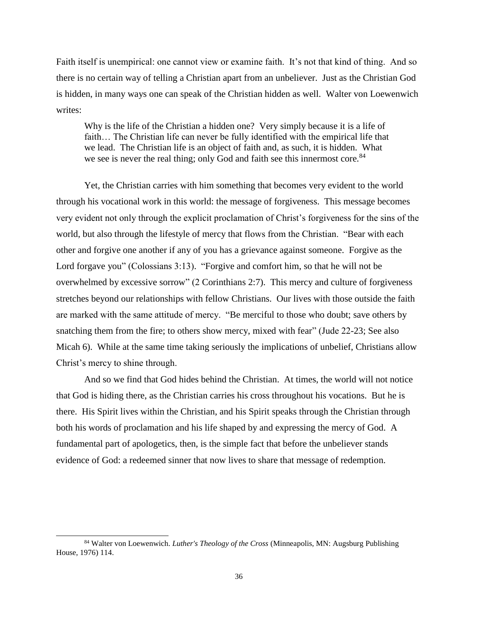Faith itself is unempirical: one cannot view or examine faith. It's not that kind of thing. And so there is no certain way of telling a Christian apart from an unbeliever. Just as the Christian God is hidden, in many ways one can speak of the Christian hidden as well. Walter von Loewenwich writes:

Why is the life of the Christian a hidden one? Very simply because it is a life of faith… The Christian life can never be fully identified with the empirical life that we lead. The Christian life is an object of faith and, as such, it is hidden. What we see is never the real thing; only God and faith see this innermost core.<sup>84</sup>

Yet, the Christian carries with him something that becomes very evident to the world through his vocational work in this world: the message of forgiveness. This message becomes very evident not only through the explicit proclamation of Christ's forgiveness for the sins of the world, but also through the lifestyle of mercy that flows from the Christian. "Bear with each other and forgive one another if any of you has a grievance against someone. Forgive as the Lord forgave you" (Colossians 3:13). "Forgive and comfort him, so that he will not be overwhelmed by excessive sorrow" (2 Corinthians 2:7). This mercy and culture of forgiveness stretches beyond our relationships with fellow Christians. Our lives with those outside the faith are marked with the same attitude of mercy. "Be merciful to those who doubt; save others by snatching them from the fire; to others show mercy, mixed with fear" (Jude 22-23; See also Micah 6). While at the same time taking seriously the implications of unbelief, Christians allow Christ's mercy to shine through.

And so we find that God hides behind the Christian. At times, the world will not notice that God is hiding there, as the Christian carries his cross throughout his vocations. But he is there. His Spirit lives within the Christian, and his Spirit speaks through the Christian through both his words of proclamation and his life shaped by and expressing the mercy of God. A fundamental part of apologetics, then, is the simple fact that before the unbeliever stands evidence of God: a redeemed sinner that now lives to share that message of redemption.

<sup>84</sup> Walter von Loewenwich. *Luther's Theology of the Cross* (Minneapolis, MN: Augsburg Publishing House, 1976) 114.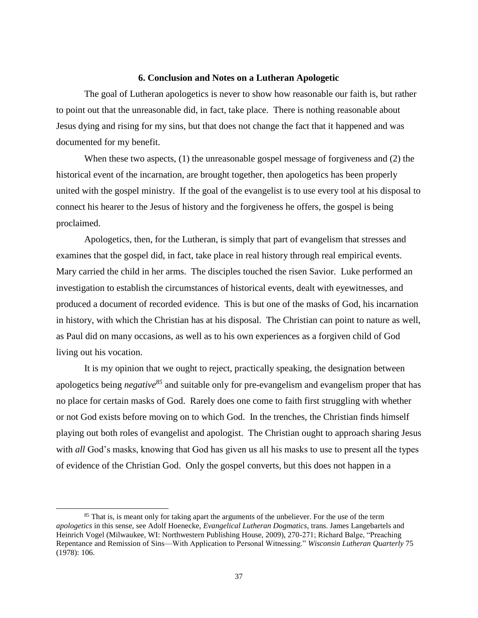#### **6. Conclusion and Notes on a Lutheran Apologetic**

<span id="page-39-0"></span>The goal of Lutheran apologetics is never to show how reasonable our faith is, but rather to point out that the unreasonable did, in fact, take place. There is nothing reasonable about Jesus dying and rising for my sins, but that does not change the fact that it happened and was documented for my benefit.

When these two aspects, (1) the unreasonable gospel message of forgiveness and (2) the historical event of the incarnation, are brought together, then apologetics has been properly united with the gospel ministry. If the goal of the evangelist is to use every tool at his disposal to connect his hearer to the Jesus of history and the forgiveness he offers, the gospel is being proclaimed.

Apologetics, then, for the Lutheran, is simply that part of evangelism that stresses and examines that the gospel did, in fact, take place in real history through real empirical events. Mary carried the child in her arms. The disciples touched the risen Savior. Luke performed an investigation to establish the circumstances of historical events, dealt with eyewitnesses, and produced a document of recorded evidence. This is but one of the masks of God, his incarnation in history, with which the Christian has at his disposal. The Christian can point to nature as well, as Paul did on many occasions, as well as to his own experiences as a forgiven child of God living out his vocation.

It is my opinion that we ought to reject, practically speaking, the designation between apologetics being *negative<sup>85</sup>* and suitable only for pre-evangelism and evangelism proper that has no place for certain masks of God. Rarely does one come to faith first struggling with whether or not God exists before moving on to which God. In the trenches, the Christian finds himself playing out both roles of evangelist and apologist. The Christian ought to approach sharing Jesus with *all* God's masks, knowing that God has given us all his masks to use to present all the types of evidence of the Christian God. Only the gospel converts, but this does not happen in a

 $\overline{\phantom{a}}$ 

<sup>&</sup>lt;sup>85</sup> That is, is meant only for taking apart the arguments of the unbeliever. For the use of the term *apologetics* in this sense, see Adolf Hoenecke, *Evangelical Lutheran Dogmatics*, trans. James Langebartels and Heinrich Vogel (Milwaukee, WI: Northwestern Publishing House, 2009), 270-271; Richard Balge, "Preaching Repentance and Remission of Sins—With Application to Personal Witnessing." *Wisconsin Lutheran Quarterly* 75 (1978): 106.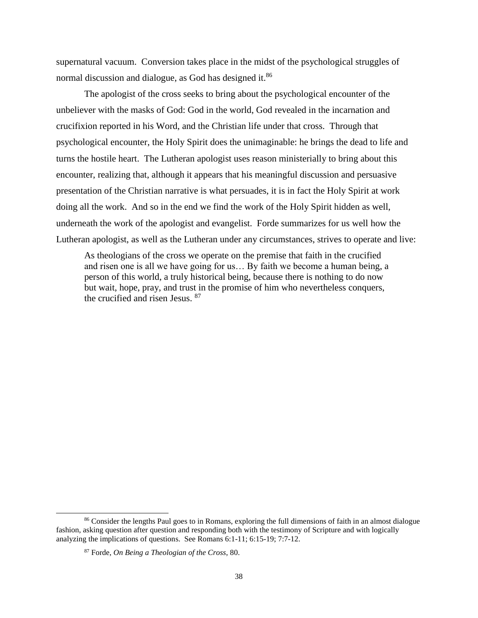supernatural vacuum. Conversion takes place in the midst of the psychological struggles of normal discussion and dialogue, as God has designed it.<sup>86</sup>

The apologist of the cross seeks to bring about the psychological encounter of the unbeliever with the masks of God: God in the world, God revealed in the incarnation and crucifixion reported in his Word, and the Christian life under that cross. Through that psychological encounter, the Holy Spirit does the unimaginable: he brings the dead to life and turns the hostile heart. The Lutheran apologist uses reason ministerially to bring about this encounter, realizing that, although it appears that his meaningful discussion and persuasive presentation of the Christian narrative is what persuades, it is in fact the Holy Spirit at work doing all the work. And so in the end we find the work of the Holy Spirit hidden as well, underneath the work of the apologist and evangelist. Forde summarizes for us well how the Lutheran apologist, as well as the Lutheran under any circumstances, strives to operate and live:

As theologians of the cross we operate on the premise that faith in the crucified and risen one is all we have going for us… By faith we become a human being, a person of this world, a truly historical being, because there is nothing to do now but wait, hope, pray, and trust in the promise of him who nevertheless conquers, the crucified and risen Jesus. 87

 $\overline{\phantom{a}}$ 

<sup>&</sup>lt;sup>86</sup> Consider the lengths Paul goes to in Romans, exploring the full dimensions of faith in an almost dialogue fashion, asking question after question and responding both with the testimony of Scripture and with logically analyzing the implications of questions. See Romans 6:1-11; 6:15-19; 7:7-12.

<sup>87</sup> Forde, *On Being a Theologian of the Cross*, 80.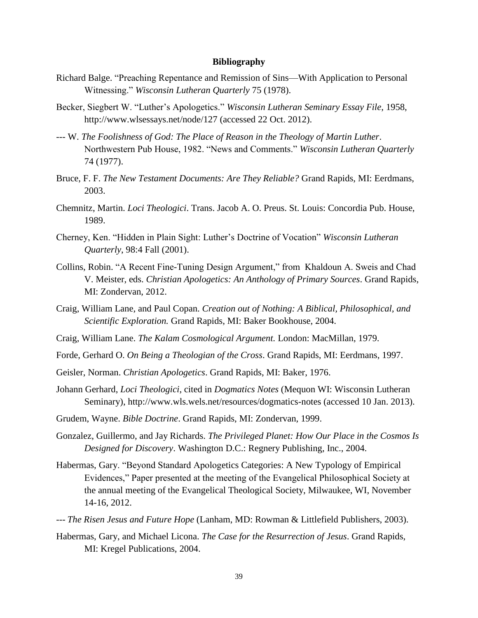#### **Bibliography**

- <span id="page-41-0"></span>Richard Balge. "Preaching Repentance and Remission of Sins—With Application to Personal Witnessing." *Wisconsin Lutheran Quarterly* 75 (1978).
- Becker, Siegbert W. "Luther's Apologetics." *Wisconsin Lutheran Seminary Essay File*, 1958, http://www.wlsessays.net/node/127 (accessed 22 Oct. 2012).
- --- W. *The Foolishness of God: The Place of Reason in the Theology of Martin Luther*. Northwestern Pub House, 1982. "News and Comments." *Wisconsin Lutheran Quarterly* 74 (1977).
- Bruce, F. F. *The New Testament Documents: Are They Reliable?* Grand Rapids, MI: Eerdmans, 2003.
- Chemnitz, Martin. *Loci Theologici*. Trans. Jacob A. O. Preus. St. Louis: Concordia Pub. House, 1989.
- Cherney, Ken. "Hidden in Plain Sight: Luther's Doctrine of Vocation" *Wisconsin Lutheran Quarterly*, 98:4 Fall (2001).
- Collins, Robin. "A Recent Fine-Tuning Design Argument," from Khaldoun A. Sweis and Chad V. Meister, eds. *Christian Apologetics: An Anthology of Primary Sources*. Grand Rapids, MI: Zondervan, 2012.
- Craig, William Lane, and Paul Copan. *Creation out of Nothing: A Biblical, Philosophical, and Scientific Exploration.* Grand Rapids, MI: Baker Bookhouse, 2004.
- Craig, William Lane. *The Kalam Cosmological Argument.* London: MacMillan, 1979.
- Forde, Gerhard O. *On Being a Theologian of the Cross*. Grand Rapids, MI: Eerdmans, 1997.
- Geisler, Norman. *Christian Apologetics*. Grand Rapids, MI: Baker, 1976.
- Johann Gerhard, *Loci Theologici*, cited in *Dogmatics Notes* (Mequon WI: Wisconsin Lutheran Seminary), http://www.wls.wels.net/resources/dogmatics-notes (accessed 10 Jan. 2013).
- Grudem, Wayne. *Bible Doctrine*. Grand Rapids, MI: Zondervan, 1999.
- Gonzalez, Guillermo, and Jay Richards. *The Privileged Planet: How Our Place in the Cosmos Is Designed for Discovery*. Washington D.C.: Regnery Publishing, Inc., 2004.
- Habermas, Gary. "Beyond Standard Apologetics Categories: A New Typology of Empirical Evidences," Paper presented at the meeting of the Evangelical Philosophical Society at the annual meeting of the Evangelical Theological Society, Milwaukee, WI, November 14-16, 2012.
- --- *The Risen Jesus and Future Hope* (Lanham, MD: Rowman & Littlefield Publishers, 2003).
- Habermas, Gary, and Michael Licona. *The Case for the Resurrection of Jesus*. Grand Rapids, MI: Kregel Publications, 2004.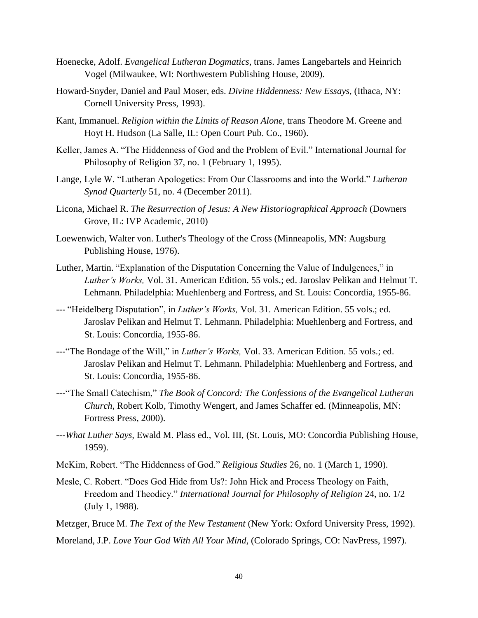- Hoenecke, Adolf. *Evangelical Lutheran Dogmatics*, trans. James Langebartels and Heinrich Vogel (Milwaukee, WI: Northwestern Publishing House, 2009).
- Howard-Snyder, Daniel and Paul Moser, eds. *Divine Hiddenness: New Essays,* (Ithaca, NY: Cornell University Press, 1993).
- Kant, Immanuel. *Religion within the Limits of Reason Alone*, trans Theodore M. Greene and Hoyt H. Hudson (La Salle, IL: Open Court Pub. Co., 1960).
- Keller, James A. "The Hiddenness of God and the Problem of Evil." International Journal for Philosophy of Religion 37, no. 1 (February 1, 1995).
- Lange, Lyle W. "Lutheran Apologetics: From Our Classrooms and into the World." *Lutheran Synod Quarterly* 51, no. 4 (December 2011).
- Licona, Michael R. *The Resurrection of Jesus: A New Historiographical Approach* (Downers Grove, IL: IVP Academic, 2010)
- Loewenwich, Walter von. Luther's Theology of the Cross (Minneapolis, MN: Augsburg Publishing House, 1976).
- Luther, Martin. "Explanation of the Disputation Concerning the Value of Indulgences," in *Luther's Works,* Vol. 31. American Edition. 55 vols.; ed. Jaroslav Pelikan and Helmut T. Lehmann. Philadelphia: Muehlenberg and Fortress, and St. Louis: Concordia, 1955-86.
- --- "Heidelberg Disputation", in *Luther's Works,* Vol. 31. American Edition. 55 vols.; ed. Jaroslav Pelikan and Helmut T. Lehmann. Philadelphia: Muehlenberg and Fortress, and St. Louis: Concordia, 1955-86.
- ---"The Bondage of the Will," in *Luther's Works,* Vol. 33. American Edition. 55 vols.; ed. Jaroslav Pelikan and Helmut T. Lehmann. Philadelphia: Muehlenberg and Fortress, and St. Louis: Concordia, 1955-86.
- ---"The Small Catechism," *The Book of Concord: The Confessions of the Evangelical Lutheran Church*, Robert Kolb, Timothy Wengert, and James Schaffer ed. (Minneapolis, MN: Fortress Press, 2000).
- ---*What Luther Says,* Ewald M. Plass ed., Vol. III, (St. Louis, MO: Concordia Publishing House, 1959).
- McKim, Robert. "The Hiddenness of God." *Religious Studies* 26, no. 1 (March 1, 1990).
- Mesle, C. Robert. "Does God Hide from Us?: John Hick and Process Theology on Faith, Freedom and Theodicy." *International Journal for Philosophy of Religion* 24, no. 1/2 (July 1, 1988).
- Metzger, Bruce M. *The Text of the New Testament* (New York: Oxford University Press, 1992).
- Moreland, J.P. *Love Your God With All Your Mind*, (Colorado Springs, CO: NavPress, 1997).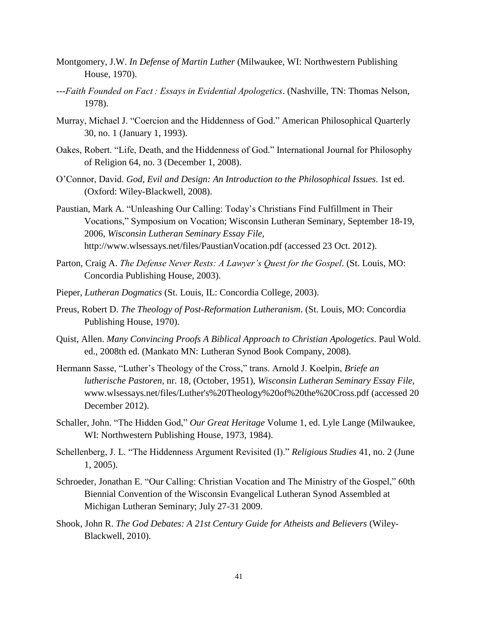- Montgomery, J.W. *In Defense of Martin Luther* (Milwaukee, WI: Northwestern Publishing House, 1970).
- *---Faith Founded on Fact : Essays in Evidential Apologetics*. (Nashville, TN: Thomas Nelson, 1978).
- Murray, Michael J. "Coercion and the Hiddenness of God." American Philosophical Quarterly 30, no. 1 (January 1, 1993).
- Oakes, Robert. "Life, Death, and the Hiddenness of God." International Journal for Philosophy of Religion 64, no. 3 (December 1, 2008).
- O'Connor, David. *God, Evil and Design: An Introduction to the Philosophical Issues*. 1st ed. (Oxford: Wiley-Blackwell, 2008).
- Paustian, Mark A. "Unleashing Our Calling: Today's Christians Find Fulfillment in Their Vocations," Symposium on Vocation; Wisconsin Lutheran Seminary, September 18-19, 2006, *Wisconsin Lutheran Seminary Essay File,* http://www.wlsessays.net/files/PaustianVocation.pdf (accessed 23 Oct. 2012).
- Parton, Craig A. *The Defense Never Rests: A Lawyer's Quest for the Gospel*. (St. Louis, MO: Concordia Publishing House, 2003).
- Pieper, *Lutheran Dogmatics* (St. Louis, IL: Concordia College, 2003).
- Preus, Robert D. *The Theology of Post-Reformation Lutheranism*. (St. Louis, MO: Concordia Publishing House, 1970).
- Quist, Allen. *Many Convincing Proofs A Biblical Approach to Christian Apologetics*. Paul Wold. ed., 2008th ed. (Mankato MN: Lutheran Synod Book Company, 2008).
- Hermann Sasse, "Luther's Theology of the Cross," trans. Arnold J. Koelpin, *Briefe an lutherische Pastoren*, nr. 18, (October, 1951), *Wisconsin Lutheran Seminary Essay File,* www.wlsessays.net/files/Luther's%20Theology%20of%20the%20Cross.pdf (accessed 20 December 2012).
- Schaller, John. "The Hidden God," *Our Great Heritage* Volume 1, ed. Lyle Lange (Milwaukee, WI: Northwestern Publishing House, 1973, 1984).
- Schellenberg, J. L. "The Hiddenness Argument Revisited (I)." *Religious Studies* 41, no. 2 (June 1, 2005).
- Schroeder, Jonathan E. "Our Calling: Christian Vocation and The Ministry of the Gospel," 60th Biennial Convention of the Wisconsin Evangelical Lutheran Synod Assembled at Michigan Lutheran Seminary; July 27-31 2009.
- Shook, John R. *The God Debates: A 21st Century Guide for Atheists and Believers* (Wiley-Blackwell, 2010).